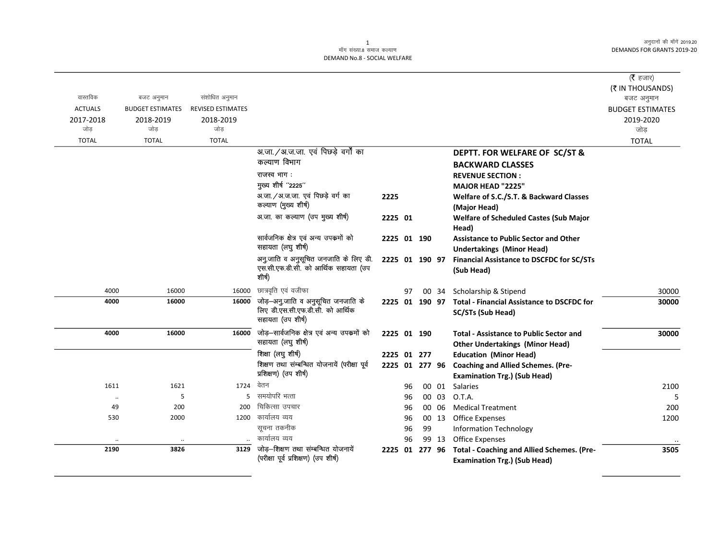#### 1 ्<br>माँग संख्या.8 समाज कल्याण DEMAND No.8 - SOCIAL WELFARE

|                |                         |                          |                                                                               |                |    |        |       |                                                                                    | ( $\bar{\tau}$ हजार)    |
|----------------|-------------------------|--------------------------|-------------------------------------------------------------------------------|----------------|----|--------|-------|------------------------------------------------------------------------------------|-------------------------|
|                |                         |                          |                                                                               |                |    |        |       |                                                                                    | (₹ IN THOUSANDS)        |
| वास्तविक       | बजट अनुमान              | संशोधित अनुमान           |                                                                               |                |    |        |       |                                                                                    | बजट अनुमान              |
| <b>ACTUALS</b> | <b>BUDGET ESTIMATES</b> | <b>REVISED ESTIMATES</b> |                                                                               |                |    |        |       |                                                                                    | <b>BUDGET ESTIMATES</b> |
| 2017-2018      | 2018-2019               | 2018-2019                |                                                                               |                |    |        |       |                                                                                    | 2019-2020               |
| जोड            | जोड                     | जोड                      |                                                                               |                |    |        |       |                                                                                    | जोड़                    |
| <b>TOTAL</b>   | <b>TOTAL</b>            | <b>TOTAL</b>             |                                                                               |                |    |        |       |                                                                                    | <b>TOTAL</b>            |
|                |                         |                          | अ.जा./अ.ज.जा. एवं पिछड़े वर्गों का                                            |                |    |        |       | DEPTT. FOR WELFARE OF SC/ST &                                                      |                         |
|                |                         |                          | कल्याण विभाग                                                                  |                |    |        |       | <b>BACKWARD CLASSES</b>                                                            |                         |
|                |                         |                          | राजस्व भाग:                                                                   |                |    |        |       | <b>REVENUE SECTION:</b>                                                            |                         |
|                |                         |                          | मुख्य शीर्ष "2225"                                                            |                |    |        |       | <b>MAJOR HEAD "2225"</b>                                                           |                         |
|                |                         |                          | अ.जा./अ.ज.जा. एवं पिछड़े वर्ग का                                              | 2225           |    |        |       | Welfare of S.C./S.T. & Backward Classes                                            |                         |
|                |                         |                          | कल्याण (मुख्य शीर्ष)                                                          |                |    |        |       | (Major Head)                                                                       |                         |
|                |                         |                          | अ.जा. का कल्याण (उप मुख्य शीर्ष)                                              | 2225 01        |    |        |       | <b>Welfare of Scheduled Castes (Sub Major</b>                                      |                         |
|                |                         |                          |                                                                               |                |    |        |       | Head)                                                                              |                         |
|                |                         |                          | सार्वजनिक क्षेत्र एवं अन्य उपकर्मो को<br>सहायता (लघु शीर्ष)                   | 2225 01 190    |    |        |       | <b>Assistance to Public Sector and Other</b>                                       |                         |
|                |                         |                          |                                                                               |                |    |        |       | <b>Undertakings (Minor Head)</b>                                                   |                         |
|                |                         |                          | अनु जाति व अनुसूचित जनजाति के लिए डी.<br>एस.सी.एफ.डी.सी. को आर्थिक सहायता (उप | 2225 01 190 97 |    |        |       | <b>Financial Assistance to DSCFDC for SC/STs</b>                                   |                         |
|                |                         |                          | शीर्ष)                                                                        |                |    |        |       | (Sub Head)                                                                         |                         |
| 4000           | 16000                   | 16000                    | छात्रवृति एवं वजीफा                                                           |                |    |        |       |                                                                                    |                         |
| 4000           | 16000                   | 16000                    | जोड़-अनु.जाति व अनुसूचित जनजाति के                                            |                | 97 |        | 00 34 | Scholarship & Stipend<br>2225 01 190 97 Total - Financial Assistance to DSCFDC for | 30000<br>30000          |
|                |                         |                          | लिए डी.एस.सी.एफ.डी.सी. को आर्थिक                                              |                |    |        |       | SC/STs (Sub Head)                                                                  |                         |
|                |                         |                          | सहायता (उप शीर्ष)                                                             |                |    |        |       |                                                                                    |                         |
| 4000           | 16000                   | 16000                    | जोड़–सार्वजनिक क्षेत्र एवं अन्य उपक्रमों को                                   | 2225 01 190    |    |        |       | <b>Total - Assistance to Public Sector and</b>                                     | 30000                   |
|                |                         |                          | सहायता (लघु शीर्ष)                                                            |                |    |        |       | <b>Other Undertakings (Minor Head)</b>                                             |                         |
|                |                         |                          | शिक्षा (लघु शीर्ष)                                                            | 2225 01 277    |    |        |       | <b>Education (Minor Head)</b>                                                      |                         |
|                |                         |                          | शिक्षण तथा संम्बन्धित योजनायें (परीक्षा पूर्व                                 |                |    |        |       | 2225 01 277 96 Coaching and Allied Schemes. (Pre-                                  |                         |
|                |                         |                          | प्रशिक्षण) (उप शीर्ष)                                                         |                |    |        |       | <b>Examination Trg.) (Sub Head)</b>                                                |                         |
| 1611           | 1621                    | 1724                     | वेतन                                                                          |                | 96 |        | 00 01 | Salaries                                                                           | 2100                    |
| $\cdot\cdot$   | 5                       | 5                        | समयोपरि भत्ता                                                                 |                | 96 |        | 00 03 | O.T.A.                                                                             | 5                       |
| 49             | 200                     | 200                      | चिकित्सा उपचार                                                                |                | 96 |        | 00 06 | <b>Medical Treatment</b>                                                           | 200                     |
| 530            | 2000                    | 1200                     | कार्यालय व्यय                                                                 |                | 96 |        | 00 13 | Office Expenses                                                                    | 1200                    |
|                |                         |                          | सूचना तकनीक                                                                   |                | 96 | 99     |       | <b>Information Technology</b>                                                      |                         |
|                |                         |                          | कार्यालय व्यय                                                                 |                | 96 |        | 99 13 | <b>Office Expenses</b>                                                             |                         |
| 2190           | 3826                    | 3129                     | जोड़-शिक्षण तथा संम्बन्धित योजनायें                                           | 2225 01        |    | 277 96 |       | <b>Total - Coaching and Allied Schemes. (Pre-</b>                                  | 3505                    |
|                |                         |                          | (परीक्षा पूर्व प्रशिक्षण) (उप शीर्ष)                                          |                |    |        |       | <b>Examination Trg.) (Sub Head)</b>                                                |                         |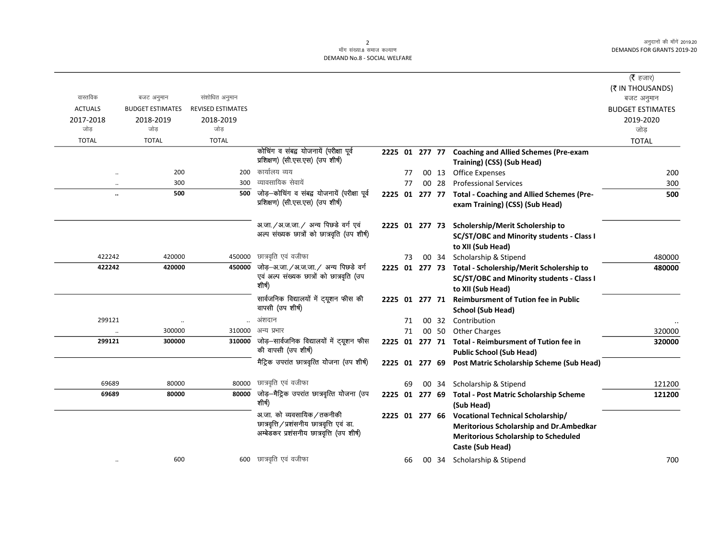# 2<br>माँग संख्या.8 समाज कल्याण DEMAND No.8 - SOCIAL WELFARE

|                      |                         |                          |                                                                                                                         |                |    |                |       |                                                                                                                                                        | ( <b>रै</b> हजार)<br>(₹ IN THOUSANDS) |
|----------------------|-------------------------|--------------------------|-------------------------------------------------------------------------------------------------------------------------|----------------|----|----------------|-------|--------------------------------------------------------------------------------------------------------------------------------------------------------|---------------------------------------|
| वास्तविक             | बजट अनुमान              | संशोधित अनुमान           |                                                                                                                         |                |    |                |       |                                                                                                                                                        | बजट अनुमान                            |
| <b>ACTUALS</b>       | <b>BUDGET ESTIMATES</b> | <b>REVISED ESTIMATES</b> |                                                                                                                         |                |    |                |       |                                                                                                                                                        | <b>BUDGET ESTIMATES</b>               |
| 2017-2018<br>जोड     | 2018-2019<br>जोड        | 2018-2019<br>जोड         |                                                                                                                         |                |    |                |       |                                                                                                                                                        | 2019-2020<br>जोड                      |
| <b>TOTAL</b>         | <b>TOTAL</b>            | <b>TOTAL</b>             |                                                                                                                         |                |    |                |       |                                                                                                                                                        | <b>TOTAL</b>                          |
|                      |                         |                          | कोचिंग व संबद्व योजनायें (परीक्षा पूर्व                                                                                 |                |    |                |       | 2225 01 277 77 Coaching and Allied Schemes (Pre-exam                                                                                                   |                                       |
|                      |                         |                          | प्रशिक्षण) (सी.एस.एस) (उप शीर्ष)                                                                                        |                |    |                |       | Training) (CSS) (Sub Head)                                                                                                                             |                                       |
| $\ddotsc$            | 200                     | 200                      | कार्यालय व्यय                                                                                                           |                | 77 |                | 00 13 | <b>Office Expenses</b>                                                                                                                                 | 200                                   |
|                      | 300                     | 300                      | व्यावसायिक सेवायें                                                                                                      |                | 77 |                | 00 28 | <b>Professional Services</b>                                                                                                                           | 300                                   |
| $\ddot{\phantom{a}}$ | 500                     | 500                      | जोड़—कोचिंग व संबद्व योजनायें (परीक्षा पूर्व<br>प्रशिक्षण) (सी.एस.एस) (उप शीर्ष)                                        |                |    |                |       | 2225 01 277 77 Total - Coaching and Allied Schemes (Pre-<br>exam Training) (CSS) (Sub Head)                                                            | 500                                   |
|                      |                         |                          | अ.जा. / अ.ज.जा. / अन्य पिछडे वर्ग एवं<br>अल्प संख्यक छात्रों को छात्रवृति (उप शीर्ष)                                    |                |    |                |       | 2225 01 277 73 Scholership/Merit Scholership to<br><b>SC/ST/OBC and Minority students - Class I</b><br>to XII (Sub Head)                               |                                       |
| 422242               | 420000                  | 450000                   | छात्रवृति एवं वजीफा                                                                                                     |                | 73 |                |       | 00 34 Scholarship & Stipend                                                                                                                            | 480000                                |
| 422242               | 420000                  | 450000                   | जोड़-अ.जा./अ.ज.जा./ अन्य पिछडे वर्ग<br>एवं अल्प संख्यक छात्रों को छात्रवृति (उप<br>शीर्ष)                               |                |    |                |       | 2225 01 277 73 Total - Scholership/Merit Scholership to<br><b>SC/ST/OBC and Minority students - Class I</b><br>to XII (Sub Head)                       | 480000                                |
|                      |                         |                          | सार्वजनिक विद्यालयों में ट्यूशन फीस की<br>वापसी (उप शीर्ष)                                                              |                |    | 2225 01 277 71 |       | <b>Reimbursment of Tution fee in Public</b><br><b>School (Sub Head)</b>                                                                                |                                       |
| 299121               |                         |                          | अंशदान                                                                                                                  |                | 71 |                | 00 32 | Contribution                                                                                                                                           |                                       |
|                      | 300000                  | 310000                   | अन्य प्रभार                                                                                                             |                | 71 |                | 00 50 | <b>Other Charges</b>                                                                                                                                   | 320000                                |
| 299121               | 300000                  | 310000                   | जोड़—सार्वजनिक विद्यालयों में ट्यूशन फीस<br>की वापसी (उप शीर्ष)                                                         | 2225 01 277 71 |    |                |       | <b>Total - Reimbursment of Tution fee in</b><br><b>Public School (Sub Head)</b>                                                                        | 320000                                |
|                      |                         |                          | मैट्रिक उपरांत छात्रवृत्ति योजना (उप शीर्ष)                                                                             |                |    |                |       | 2225 01 277 69 Post Matric Scholarship Scheme (Sub Head)                                                                                               |                                       |
| 69689                | 80000                   | 80000                    | छात्रवृति एवं वजीफा                                                                                                     |                | 69 |                | 00 34 | Scholarship & Stipend                                                                                                                                  | 121200                                |
| 69689                | 80000                   | 80000                    | जोड़—मैट्रिक उपरांत छात्रवृत्ति योजना (उप<br>शीर्ष)                                                                     | 2225 01 277 69 |    |                |       | <b>Total - Post Matric Scholarship Scheme</b><br>(Sub Head)                                                                                            | 121200                                |
|                      |                         |                          | अ.जा. को व्यवसायिक / तकनीकी<br>छात्रवृत्ति / प्रशंसनीय छात्रवृत्ति एवं डा.<br>अम्बेडकर प्रशंसनीय छात्रवृत्ति (उप शीर्ष) | 2225 01 277 66 |    |                |       | <b>Vocational Technical Scholarship/</b><br>Meritorious Scholarship and Dr.Ambedkar<br><b>Meritorious Scholarship to Scheduled</b><br>Caste (Sub Head) |                                       |
| $\cdot\cdot$         | 600                     | 600                      | छात्रवृति एवं वजीफा                                                                                                     |                | 66 |                | 00 34 | Scholarship & Stipend                                                                                                                                  | 700                                   |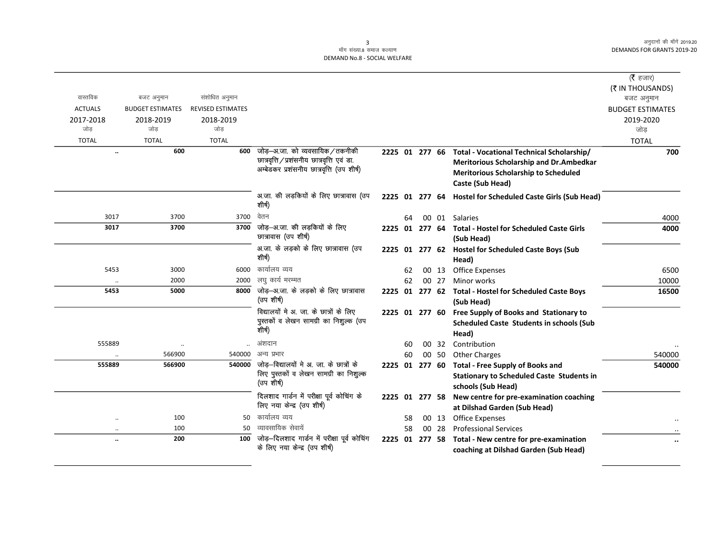# 3<br>माँग संख्या.8 समाज कल्याण DEMAND No.8 - SOCIAL WELFARE

|                                   |                         |                          |                                                    |                |    |                |       |                                                            | ( $\bar{\tau}$ हजार)    |
|-----------------------------------|-------------------------|--------------------------|----------------------------------------------------|----------------|----|----------------|-------|------------------------------------------------------------|-------------------------|
|                                   |                         |                          |                                                    |                |    |                |       |                                                            | (₹ IN THOUSANDS)        |
| वास्तविक                          | बजट अनुमान              | संशोधित अनुमान           |                                                    |                |    |                |       |                                                            | बजट अनुमान              |
| <b>ACTUALS</b>                    | <b>BUDGET ESTIMATES</b> | <b>REVISED ESTIMATES</b> |                                                    |                |    |                |       |                                                            | <b>BUDGET ESTIMATES</b> |
| 2017-2018                         | 2018-2019               | 2018-2019                |                                                    |                |    |                |       |                                                            | 2019-2020               |
| जोड                               | जोड                     | जोड                      |                                                    |                |    |                |       |                                                            | जोड                     |
| <b>TOTAL</b>                      | <b>TOTAL</b>            | <b>TOTAL</b>             |                                                    |                |    |                |       |                                                            | <b>TOTAL</b>            |
| $\ddot{\phantom{a}}$              | 600                     | 600                      | जोड़–अ.जा. को व्यवसायिक/तकनीकी                     |                |    | 2225 01 277 66 |       | Total - Vocational Technical Scholarship/                  | 700                     |
|                                   |                         |                          | छात्रवृत्ति / प्रशंसनीय छात्रवृत्ति एवं डा.        |                |    |                |       | Meritorious Scholarship and Dr.Ambedkar                    |                         |
|                                   |                         |                          | अम्बेडकर प्रशंसनीय छात्रवृत्ति (उप शीर्ष)          |                |    |                |       | <b>Meritorious Scholarship to Scheduled</b>                |                         |
|                                   |                         |                          |                                                    |                |    |                |       | Caste (Sub Head)                                           |                         |
|                                   |                         |                          | अ.जा. की लड़कियों के लिए छात्रावास (उप<br>शीर्ष)   |                |    |                |       | 2225 01 277 64 Hostel for Scheduled Caste Girls (Sub Head) |                         |
| 3017                              | 3700                    | 3700                     | वेतन                                               |                | 64 |                |       | 00 01 Salaries                                             | 4000                    |
| 3017                              | 3700                    | 3700                     | जोड़—अ.जा. की लड़कियों के लिए                      |                |    | 2225 01 277 64 |       | <b>Total - Hostel for Scheduled Caste Girls</b>            | 4000                    |
|                                   |                         |                          | छात्रावास (उप शीर्ष)                               |                |    |                |       | (Sub Head)                                                 |                         |
|                                   |                         |                          | अ.जा. के लड़को के लिए छात्रावास (उप                |                |    |                |       | 2225 01 277 62 Hostel for Scheduled Caste Boys (Sub        |                         |
|                                   |                         |                          | शीर्ष)                                             |                |    |                |       | Head)                                                      |                         |
| 5453                              | 3000                    | 6000                     | कार्यालय व्यय                                      |                | 62 |                | 00 13 | <b>Office Expenses</b>                                     | 6500                    |
| $\ddot{\phantom{0}}$              | 2000                    | 2000                     | लघु कार्य मरम्मत                                   |                | 62 |                | 00 27 | Minor works                                                | 10000                   |
| 5453                              | 5000                    | 8000                     | जोड़-अ.जा. के लड़को के लिए छात्रावास<br>(उप शीर्ष) |                |    |                |       | 2225 01 277 62 Total - Hostel for Scheduled Caste Boys     | 16500                   |
|                                   |                         |                          | विद्यालयों मे अ. जा. के छात्रों के लिए             |                |    |                |       | (Sub Head)                                                 |                         |
|                                   |                         |                          | पुस्तकों व लेखन सामग्री का निशुल्क (उप             |                |    |                |       | 2225 01 277 60 Free Supply of Books and Stationary to      |                         |
|                                   |                         |                          | शीर्ष)                                             |                |    |                |       | <b>Scheduled Caste Students in schools (Sub</b>            |                         |
|                                   |                         |                          | अंशदान                                             |                |    |                |       | Head)                                                      |                         |
| 555889                            | 566900                  | 540000                   | अन्य प्रभार                                        |                | 60 |                | 00 32 | Contribution                                               |                         |
| 555889                            | 566900                  | 540000                   | जोड़–विद्यालयों मे अ. जा. के छात्रों के            |                | 60 |                | 00 50 | <b>Other Charges</b>                                       | 540000                  |
|                                   |                         |                          | लिए पुस्तकों व लेखन सामग्री का निशुल्क             |                |    | 2225 01 277 60 |       | <b>Total - Free Supply of Books and</b>                    | 540000                  |
|                                   |                         |                          | (उप शीर्ष)                                         |                |    |                |       | <b>Stationary to Scheduled Caste Students in</b>           |                         |
|                                   |                         |                          | दिलशाद गार्डन में परीक्षा पूर्व कोचिंग के          |                |    |                |       | schools (Sub Head)                                         |                         |
|                                   |                         |                          | लिए नया केन्द्र (उप शीर्ष)                         | 2225 01 277 58 |    |                |       | New centre for pre-examination coaching                    |                         |
|                                   | 100                     | 50                       | कार्यालय व्यय                                      |                | 58 |                | 00 13 | at Dilshad Garden (Sub Head)<br><b>Office Expenses</b>     |                         |
| $\ddot{\phantom{a}}$<br>$\ddotsc$ | 100                     | 50                       | व्यावसायिक सेवायें                                 |                | 58 |                | 00 28 | <b>Professional Services</b>                               |                         |
| $\ddot{\phantom{a}}$              | 200                     | 100                      | जोड़—दिलशाद गार्डन में परीक्षा पूर्व कोचिंग        |                |    | 2225 01 277 58 |       | Total - New centre for pre-examination                     |                         |
|                                   |                         |                          | के लिए नया केन्द्र (उप शीर्ष)                      |                |    |                |       | coaching at Dilshad Garden (Sub Head)                      |                         |
|                                   |                         |                          |                                                    |                |    |                |       |                                                            |                         |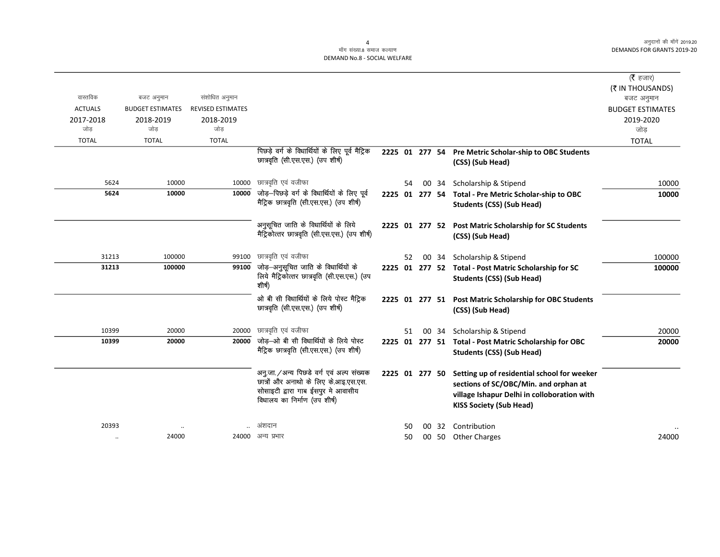### .<br>माँग संख्या.8 समाज कल्याण DEMAND No.8 - SOCIAL WELFARE

|                |                         |                          |                                                                                               |                |    |    |       |                                                                                            | ( $\bar{\tau}$ हजार)    |
|----------------|-------------------------|--------------------------|-----------------------------------------------------------------------------------------------|----------------|----|----|-------|--------------------------------------------------------------------------------------------|-------------------------|
|                |                         |                          |                                                                                               |                |    |    |       |                                                                                            | (₹ IN THOUSANDS)        |
| वास्तविक       | बजट अनुमान              | संशोधित अनुमान           |                                                                                               |                |    |    |       |                                                                                            | बजट अनुमान              |
| <b>ACTUALS</b> | <b>BUDGET ESTIMATES</b> | <b>REVISED ESTIMATES</b> |                                                                                               |                |    |    |       |                                                                                            | <b>BUDGET ESTIMATES</b> |
| 2017-2018      | 2018-2019               | 2018-2019                |                                                                                               |                |    |    |       |                                                                                            | 2019-2020               |
| जोड            | जोड                     | जोड                      |                                                                                               |                |    |    |       |                                                                                            | जोड                     |
| <b>TOTAL</b>   | <b>TOTAL</b>            | <b>TOTAL</b>             |                                                                                               |                |    |    |       |                                                                                            | <b>TOTAL</b>            |
|                |                         |                          | पिछड़े वर्ग के विधार्थियों के लिए पूर्व मैट्रिक<br>छात्रवृति (सी.एस.एस.) (उप शीर्ष)           | 2225 01 277 54 |    |    |       | Pre Metric Scholar-ship to OBC Students<br>(CSS) (Sub Head)                                |                         |
| 5624           | 10000                   | 10000                    | छात्रवृति एवं वजीफा                                                                           |                | 54 | 00 | 34    | Scholarship & Stipend                                                                      | 10000                   |
| 5624           | 10000                   | 10000                    | जोड़-पिछड़े वर्ग के विधार्थियों के लिए पूर्व                                                  |                |    |    |       | 2225 01 277 54 Total - Pre Metric Scholar-ship to OBC                                      | 10000                   |
|                |                         |                          | मैट्रिक छात्रवृति (सी.एस.एस.) (उप शीर्ष)                                                      |                |    |    |       | <b>Students (CSS) (Sub Head)</b>                                                           |                         |
|                |                         |                          | अनुसूचित जाति के विधार्थियों के लिये<br>मैट्रिकोत्तर छात्रवृति (सी.एस.एस.) (उप शीर्ष)         |                |    |    |       | 2225 01 277 52 Post Matric Scholarship for SC Students<br>(CSS) (Sub Head)                 |                         |
| 31213          | 100000                  | 99100                    | छात्रवृति एवं वजीफा                                                                           |                | 52 | 00 | -34   | Scholarship & Stipend                                                                      | 100000                  |
| 31213          | 100000                  | 99100                    | जोड़—अनुसूचित जाति के विधार्थियों के<br>लिये मैट्रिकोत्तर छात्रवृति (सी.एस.एस.) (उप<br>शीर्ष) |                |    |    |       | 2225 01 277 52 Total - Post Matric Scholarship for SC<br><b>Students (CSS) (Sub Head)</b>  | 100000                  |
|                |                         |                          | ओ बी सी विधार्थियों के लिये पोस्ट मैट्रिक<br>छात्रवृति (सी.एस.एस.) (उप शीर्ष)                 | 2225 01 277 51 |    |    |       | <b>Post Matric Scholarship for OBC Students</b><br>(CSS) (Sub Head)                        |                         |
| 10399          | 20000                   | 20000                    | छात्रवृति एवं वजीफा                                                                           |                | 51 |    | 00 34 | Scholarship & Stipend                                                                      | 20000                   |
| 10399          | 20000                   | 20000                    | जोड़-ओ बी सी विधार्थियों के लिये पोस्ट<br>मैट्रिक छात्रवृति (सी.एस.एस.) (उप शीर्ष)            |                |    |    |       | 2225 01 277 51 Total - Post Matric Scholarship for OBC<br><b>Students (CSS) (Sub Head)</b> | 20000                   |
|                |                         |                          | अनु.जा. / अन्य पिछडे वर्ग एवं अल्प संख्यक                                                     | 2225 01 277 50 |    |    |       | Setting up of residential school for weeker                                                |                         |
|                |                         |                          | छात्रों और अनाथो के लिए के.आइ.एस.एस.<br>सोसाइटी द्वारा गाब ईसपुर मे आवासीय                    |                |    |    |       | sections of SC/OBC/Min. and orphan at                                                      |                         |
|                |                         |                          | विधालय का निर्माण (उप शीर्ष)                                                                  |                |    |    |       | village Ishapur Delhi in colloboration with<br><b>KISS Society (Sub Head)</b>              |                         |
| 20393          |                         |                          | अशदान                                                                                         |                | 50 | 00 | 32    | Contribution                                                                               |                         |
| $\ddotsc$      | 24000                   |                          | 24000 अन्य प्रभार                                                                             |                | 50 |    |       | 00 50 Other Charges                                                                        | 24000                   |
|                |                         |                          |                                                                                               |                |    |    |       |                                                                                            |                         |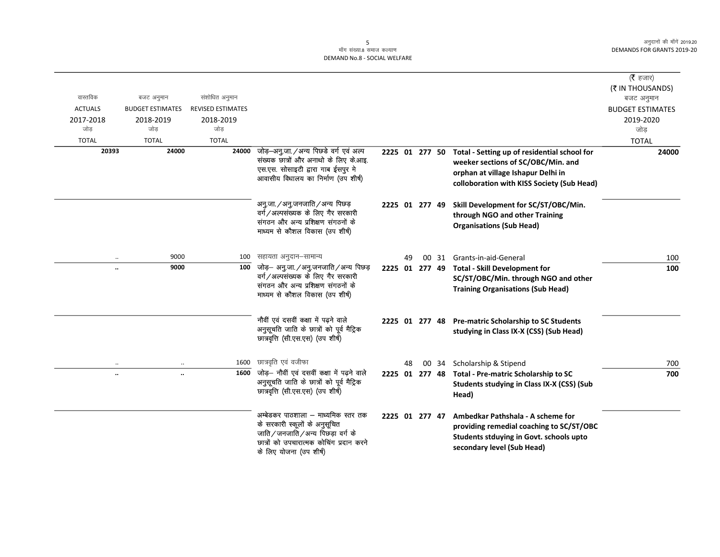# 5<br>माँग संख्या.8 समाज कल्याण DEMAND No.8 - SOCIAL WELFARE

|                      |                         |                          |                                                                                                                                                                                |                |    |       |                                                                                                                                                                        | ( <b>रै</b> हजार)              |
|----------------------|-------------------------|--------------------------|--------------------------------------------------------------------------------------------------------------------------------------------------------------------------------|----------------|----|-------|------------------------------------------------------------------------------------------------------------------------------------------------------------------------|--------------------------------|
| वास्तविक             | बजट अनुमान              | संशोधित अनुमान           |                                                                                                                                                                                |                |    |       |                                                                                                                                                                        | (₹ IN THOUSANDS)<br>बजट अनुमान |
| <b>ACTUALS</b>       | <b>BUDGET ESTIMATES</b> | <b>REVISED ESTIMATES</b> |                                                                                                                                                                                |                |    |       |                                                                                                                                                                        | <b>BUDGET ESTIMATES</b>        |
| 2017-2018            | 2018-2019               | 2018-2019                |                                                                                                                                                                                |                |    |       |                                                                                                                                                                        | 2019-2020                      |
| जोड                  | जोड                     | जोड                      |                                                                                                                                                                                |                |    |       |                                                                                                                                                                        | जोड                            |
| <b>TOTAL</b>         | <b>TOTAL</b>            | <b>TOTAL</b>             |                                                                                                                                                                                |                |    |       |                                                                                                                                                                        | <b>TOTAL</b>                   |
| 20393                | 24000                   | 24000                    | जोड़-अनु.जा./अन्य पिछडे वर्ग एवं अल्प<br>संख्यक छात्रों और अनाथो के लिए के.आइ.<br>एस.एस. सोसाइटी द्वारा गाब ईसपुर मे<br>आवासीय विधालय का निर्माण (उप शीर्ष)                    | 2225 01 277 50 |    |       | Total - Setting up of residential school for<br>weeker sections of SC/OBC/Min. and<br>orphan at village Ishapur Delhi in<br>colloboration with KISS Society (Sub Head) | 24000                          |
|                      |                         |                          | अनु.जा./अनु.जनजाति/अन्य पिछड़<br>वर्ग/अल्पसंख्यक के लिए गैर सरकारी<br>संगठन और अन्य प्रशिक्षण संगठनों के<br>माध्यम से कौशल विकास (उप शीर्ष)                                    | 2225 01 277 49 |    |       | Skill Development for SC/ST/OBC/Min.<br>through NGO and other Training<br><b>Organisations (Sub Head)</b>                                                              |                                |
|                      | 9000                    | 100                      | सहायता अनुदान–सामान्य                                                                                                                                                          |                | 49 | 00 31 | Grants-in-aid-General                                                                                                                                                  | 100                            |
| $\ddot{\phantom{a}}$ | 9000                    | 100                      | जोड़– अनु.जा./अनु.जनजाति/अन्य पिछड़<br>वर्ग/अल्पसंख्यक के लिए गैर सरकारी<br>संगठन और अन्य प्रशिक्षण संगठनों के<br>माध्यम से कौशल विकास (उप शीर्ष)                              | 2225 01 277 49 |    |       | <b>Total - Skill Development for</b><br>SC/ST/OBC/Min. through NGO and other<br><b>Training Organisations (Sub Head)</b>                                               | 100                            |
|                      |                         |                          | नौवीं एवं दसवीं कक्षा में पढ़ने वाले<br>अनुसूचति जाति के छात्रों को पूर्व मैट्रिक<br>छात्रवृत्ति (सी.एस.एस) (उप शीर्ष)                                                         |                |    |       | 2225 01 277 48 Pre-matric Scholarship to SC Students<br>studying in Class IX-X (CSS) (Sub Head)                                                                        |                                |
| $\ddotsc$            | $\ddotsc$               | 1600                     | छात्रवृति एवं वजीफा                                                                                                                                                            |                | 48 | 00 34 | Scholarship & Stipend                                                                                                                                                  | 700                            |
| $\ddot{\phantom{a}}$ | $\cdot\cdot$            | 1600                     | जोड़— नौवीं एवं दसवीं कक्षा में पढ़ने वाले<br>अनुसूचति जाति के छात्रों को पूर्व मैट्रिक<br>छात्रवृत्ति (सी.एस.एस) (उप शीर्ष)                                                   | 2225 01 277 48 |    |       | Total - Pre-matric Scholarship to SC<br>Students studying in Class IX-X (CSS) (Sub<br>Head)                                                                            | 700                            |
|                      |                         |                          | अम्बेडकर पाठशाला – माध्यमिक स्तर तक<br>के सरकारी स्कूलों के अनुसूचित<br>जाति/जनजाति/अन्य पिछड़ा वर्ग के<br>छात्रों को उपचारात्मक कोचिंग प्रदान करने<br>के लिए योजना (उप शीर्ष) | 2225 01 277 47 |    |       | Ambedkar Pathshala - A scheme for<br>providing remedial coaching to SC/ST/OBC<br>Students stduying in Govt. schools upto<br>secondary level (Sub Head)                 |                                |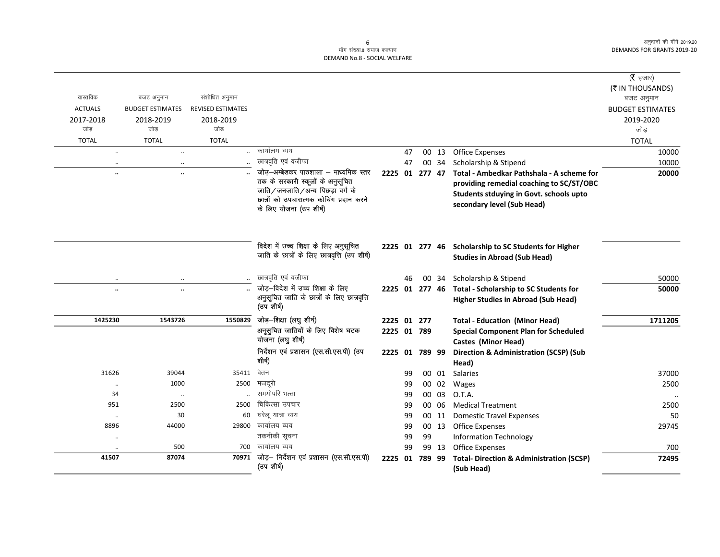## .<br>माँग संख्या.8 समाज कल्याण DEMAND No.8 - SOCIAL WELFARE

|                      |                         |                          |                                                                                                                                                                                     |                |    |        |       |                                                                                                                                                                | (रै हजार)               |
|----------------------|-------------------------|--------------------------|-------------------------------------------------------------------------------------------------------------------------------------------------------------------------------------|----------------|----|--------|-------|----------------------------------------------------------------------------------------------------------------------------------------------------------------|-------------------------|
|                      |                         |                          |                                                                                                                                                                                     |                |    |        |       |                                                                                                                                                                | (₹ IN THOUSANDS)        |
| वास्तविक             | बजट अनुमान              | संशोधित अनुमान           |                                                                                                                                                                                     |                |    |        |       |                                                                                                                                                                | बजट अनुमान              |
| <b>ACTUALS</b>       | <b>BUDGET ESTIMATES</b> | <b>REVISED ESTIMATES</b> |                                                                                                                                                                                     |                |    |        |       |                                                                                                                                                                | <b>BUDGET ESTIMATES</b> |
| 2017-2018            | 2018-2019               | 2018-2019                |                                                                                                                                                                                     |                |    |        |       |                                                                                                                                                                | 2019-2020               |
| जोड                  | जोड                     | जोड                      |                                                                                                                                                                                     |                |    |        |       |                                                                                                                                                                | जोड                     |
| <b>TOTAL</b>         | <b>TOTAL</b>            | <b>TOTAL</b>             |                                                                                                                                                                                     |                |    |        |       |                                                                                                                                                                | <b>TOTAL</b>            |
| $\ddotsc$            | $\ddotsc$               |                          | कार्यालय व्यय                                                                                                                                                                       |                | 47 |        | 00 13 | <b>Office Expenses</b>                                                                                                                                         | 10000                   |
| $\cdot\cdot$         | $\ddotsc$               |                          | छात्रवृति एवं वजीफा                                                                                                                                                                 |                | 47 |        | 00 34 | Scholarship & Stipend                                                                                                                                          | 10000                   |
| $\ddot{\phantom{a}}$ | $\ddotsc$               |                          | जोउ़-अम्बेडकर पाठशाला – माध्यमिक स्तर<br>तक के सरकारी स्कूलों के अनुसूचित<br>जाति/जनजाति/अन्य पिछड़ा वर्ग के<br>छात्रों को उपचारात्मक कोचिंग प्रदान करने<br>के लिए योजना (उप शीर्ष) | 2225 01 277 47 |    |        |       | Total - Ambedkar Pathshala - A scheme for<br>providing remedial coaching to SC/ST/OBC<br>Students stduying in Govt. schools upto<br>secondary level (Sub Head) | 20000                   |
|                      |                         |                          | विदेश में उच्च शिक्षा के लिए अनुसूचित<br>जाति के छात्रों के लिए छात्रवृत्ति (उप शीर्ष)                                                                                              |                |    |        |       | 2225 01 277 46 Scholarship to SC Students for Higher<br><b>Studies in Abroad (Sub Head)</b>                                                                    |                         |
| $\ldots$             | $\ddotsc$               |                          | छात्रवृति एवं वजीफा                                                                                                                                                                 |                | 46 |        | 00 34 | Scholarship & Stipend                                                                                                                                          | 50000                   |
|                      | $\cdots$                |                          | जोड़-विदेश में उच्च शिक्षा के लिए                                                                                                                                                   | 2225 01 277 46 |    |        |       | Total - Scholarship to SC Students for                                                                                                                         | 50000                   |
|                      |                         |                          | अनुसूचित जाति के छात्रों के लिए छात्रवृत्ति<br>(उप शीर्ष)                                                                                                                           |                |    |        |       | <b>Higher Studies in Abroad (Sub Head)</b>                                                                                                                     |                         |
| 1425230              | 1543726                 | 1550829                  | जोड़-शिक्षा (लघु शीर्ष)                                                                                                                                                             | 2225 01 277    |    |        |       | <b>Total - Education (Minor Head)</b>                                                                                                                          | 1711205                 |
|                      |                         |                          | अनूसुचित जातियों के लिए विशेष घटक                                                                                                                                                   | 2225 01 789    |    |        |       | <b>Special Component Plan for Scheduled</b>                                                                                                                    |                         |
|                      |                         |                          | योजना (लघु शीर्ष)                                                                                                                                                                   |                |    |        |       | Castes (Minor Head)                                                                                                                                            |                         |
|                      |                         |                          | निर्देशन एवं प्रशासन (एस.सी.एस.पी) (उप                                                                                                                                              | 2225 01 789 99 |    |        |       | <b>Direction &amp; Administration (SCSP) (Sub</b>                                                                                                              |                         |
|                      |                         |                          | शीर्ष)                                                                                                                                                                              |                |    |        |       | Head)                                                                                                                                                          |                         |
| 31626                | 39044                   | 35411                    | वेतन                                                                                                                                                                                |                | 99 |        | 00 01 | Salaries                                                                                                                                                       | 37000                   |
| $\ldots$             | 1000                    | 2500                     | मजदूरी                                                                                                                                                                              |                | 99 |        | 00 02 | Wages                                                                                                                                                          | 2500                    |
| 34                   | $\ldots$                |                          | समयोपरि भत्ता                                                                                                                                                                       |                | 99 |        | 00 03 | O.T.A.                                                                                                                                                         |                         |
| 951                  | 2500                    | 2500                     | चिकित्सा उपचार                                                                                                                                                                      |                | 99 |        | 00 06 | <b>Medical Treatment</b>                                                                                                                                       | 2500                    |
| $\cdot\cdot$         | 30                      | 60                       | घरेलू यात्रा व्यय                                                                                                                                                                   |                | 99 |        | 00 11 | <b>Domestic Travel Expenses</b>                                                                                                                                | 50                      |
| 8896                 | 44000                   |                          | 29800 कार्यालय व्यय                                                                                                                                                                 |                | 99 |        | 00 13 | <b>Office Expenses</b>                                                                                                                                         | 29745                   |
| $\cdot\cdot$         |                         |                          | तकनीकी सूचना                                                                                                                                                                        |                | 99 | 99     |       | <b>Information Technology</b>                                                                                                                                  |                         |
| $\ddotsc$            | 500                     | 700                      | कार्यालय व्यय                                                                                                                                                                       |                | 99 |        | 99 13 | <b>Office Expenses</b>                                                                                                                                         | 700                     |
| 41507                | 87074                   | 70971                    | जोड़- निर्देशन एवं प्रशासन (एस.सी.एस.पी)<br>(उप शीर्ष)                                                                                                                              | 2225 01        |    | 789 99 |       | <b>Total- Direction &amp; Administration (SCSP)</b><br>(Sub Head)                                                                                              | 72495                   |

 $\sqrt{6}$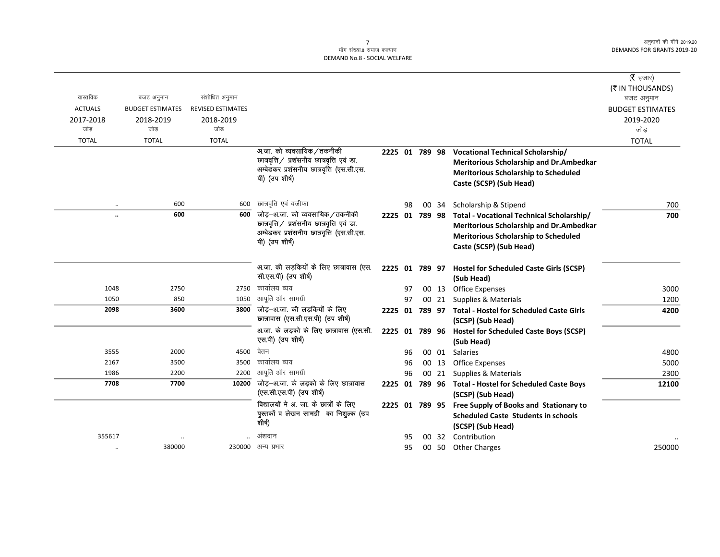### $\frac{1}{2}$ माँग संख्या 8 समाज कल्याण DEMAND No.8 - SOCIAL WELFARE

|                  |                                       |                          |                                                                                  |                |    |       |                                                         | (रै हजार)               |
|------------------|---------------------------------------|--------------------------|----------------------------------------------------------------------------------|----------------|----|-------|---------------------------------------------------------|-------------------------|
| वास्तविक         |                                       | संशोधित अनुमान           |                                                                                  |                |    |       |                                                         | (₹ IN THOUSANDS)        |
| <b>ACTUALS</b>   | बजट अनुमान<br><b>BUDGET ESTIMATES</b> | <b>REVISED ESTIMATES</b> |                                                                                  |                |    |       |                                                         | बजट अनुमान              |
|                  |                                       |                          |                                                                                  |                |    |       |                                                         | <b>BUDGET ESTIMATES</b> |
| 2017-2018<br>जोड | 2018-2019<br>जोड                      | 2018-2019<br>जोड         |                                                                                  |                |    |       |                                                         | 2019-2020<br>जोड        |
| <b>TOTAL</b>     | <b>TOTAL</b>                          | <b>TOTAL</b>             |                                                                                  |                |    |       |                                                         | <b>TOTAL</b>            |
|                  |                                       |                          | अ.जा. को व्यवसायिक / तकनीकी                                                      | 2225 01 789 98 |    |       | <b>Vocational Technical Scholarship/</b>                |                         |
|                  |                                       |                          | छात्रवृत्ति / प्रशंसनीय छात्रवृत्ति एवं डा.                                      |                |    |       | <b>Meritorious Scholarship and Dr.Ambedkar</b>          |                         |
|                  |                                       |                          | अम्बेडकर प्रशंसनीय छात्रवृत्ति (एस.सी.एस.                                        |                |    |       | <b>Meritorious Scholarship to Scheduled</b>             |                         |
|                  |                                       |                          | पी) (उप शीर्ष)                                                                   |                |    |       | Caste (SCSP) (Sub Head)                                 |                         |
|                  |                                       |                          |                                                                                  |                |    |       |                                                         |                         |
| $\ddotsc$        | 600                                   | 600                      | छात्रवृति एवं वजीफा                                                              |                | 98 | 00 34 | Scholarship & Stipend                                   | 700                     |
|                  | 600                                   | 600                      | जोड़—अ.जा. को व्यवसायिक ⁄ तकनीकी                                                 | 2225 01 789 98 |    |       | Total - Vocational Technical Scholarship/               | 700                     |
|                  |                                       |                          | छात्रवृत्ति / प्रशंसनीय छात्रवृत्ति एवं डा.                                      |                |    |       | Meritorious Scholarship and Dr.Ambedkar                 |                         |
|                  |                                       |                          | अम्बेडकर प्रशंसनीय छात्रवृत्ति (एस.सी.एस.                                        |                |    |       | <b>Meritorious Scholarship to Scheduled</b>             |                         |
|                  |                                       |                          | पी) (उप शीर्ष)                                                                   |                |    |       | Caste (SCSP) (Sub Head)                                 |                         |
|                  |                                       |                          |                                                                                  |                |    |       |                                                         |                         |
|                  |                                       |                          | अ.जा. की लड़कियों के लिए छात्रावास (एस.                                          | 2225 01 789 97 |    |       | <b>Hostel for Scheduled Caste Girls (SCSP)</b>          |                         |
|                  |                                       |                          | सी.एस.पी) (उप शीर्ष)                                                             |                |    |       | (Sub Head)                                              |                         |
| 1048             | 2750                                  | 2750                     | कार्यालय व्यय                                                                    |                | 97 | 00 13 | <b>Office Expenses</b>                                  | 3000                    |
| 1050             | 850                                   | 1050                     | आपूर्ति और सामग्री                                                               |                | 97 |       | 00 21 Supplies & Materials                              | 1200                    |
| 2098             | 3600                                  | 3800                     | जोड़—अ.जा. की लड़कियों के लिए                                                    |                |    |       | 2225 01 789 97 Total - Hostel for Scheduled Caste Girls | 4200                    |
|                  |                                       |                          | छात्रावास (एस.सी.एस.पी) (उप शीर्ष)                                               |                |    |       | (SCSP) (Sub Head)                                       |                         |
|                  |                                       |                          | अ.जा. के लड़को के लिए छात्रावास (एस.सी.                                          |                |    |       | 2225 01 789 96 Hostel for Scheduled Caste Boys (SCSP)   |                         |
|                  |                                       |                          | एस.पी) (उप शीर्ष)                                                                |                |    |       | (Sub Head)                                              |                         |
| 3555             | 2000                                  | 4500                     | वेतन                                                                             |                | 96 | 00 01 | Salaries                                                | 4800                    |
| 2167             | 3500                                  | 3500                     | कार्यालय व्यय                                                                    |                | 96 | 00 13 | <b>Office Expenses</b>                                  | 5000                    |
| 1986             | 2200                                  | 2200                     | आपूर्ति और सामग्री                                                               |                | 96 | 00 21 | Supplies & Materials                                    | 2300                    |
| 7708             | 7700                                  |                          | $\overline{10200}$ जोड़-अ.जा. के लड़को के लिए छात्रावास                          |                |    |       | 2225 01 789 96 Total - Hostel for Scheduled Caste Boys  | 12100                   |
|                  |                                       |                          | (एस.सी.एस.पी) (उप शीर्ष)                                                         |                |    |       | (SCSP) (Sub Head)                                       |                         |
|                  |                                       |                          | विद्यालयों मे अ. जा. के छात्रों के लिए<br>पुस्तकों व लेखन सामग्री का निशुल्क (उप | 2225 01 789 95 |    |       | Free Supply of Books and Stationary to                  |                         |
|                  |                                       |                          | शीर्ष)                                                                           |                |    |       | <b>Scheduled Caste Students in schools</b>              |                         |
|                  |                                       |                          |                                                                                  |                |    |       | (SCSP) (Sub Head)                                       |                         |
| 355617           |                                       |                          | अंशदान                                                                           |                | 95 | 00 32 | Contribution                                            |                         |
| $\ddotsc$        | 380000                                |                          | 230000 अन्य प्रभार                                                               |                | 95 | 00 50 | <b>Other Charges</b>                                    | 250000                  |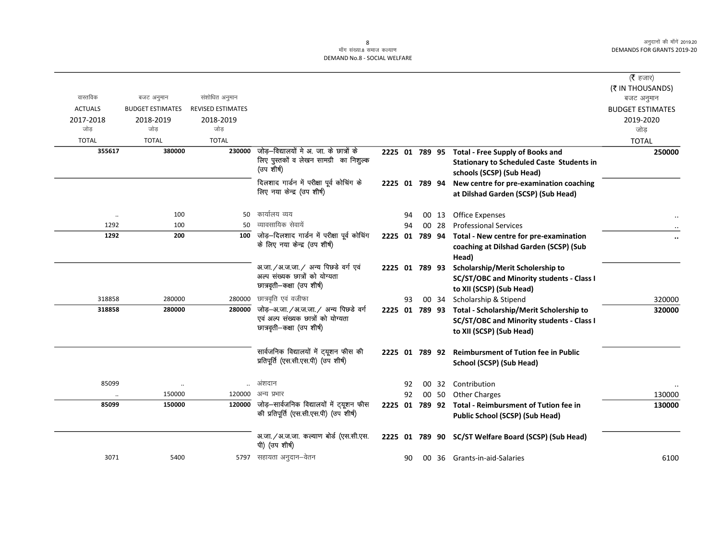|                      |                                |                          |                                                                                |                |    |       |                                                         | ( $\bar{\tau}$ हजार)    |
|----------------------|--------------------------------|--------------------------|--------------------------------------------------------------------------------|----------------|----|-------|---------------------------------------------------------|-------------------------|
|                      |                                |                          |                                                                                |                |    |       |                                                         | (₹ IN THOUSANDS)        |
| वास्तविक             | बजट अनुमान                     | संशोधित अनुमान           |                                                                                |                |    |       |                                                         | बजट अनुमान              |
| <b>ACTUALS</b>       | <b>BUDGET ESTIMATES</b>        | <b>REVISED ESTIMATES</b> |                                                                                |                |    |       |                                                         | <b>BUDGET ESTIMATES</b> |
| 2017-2018            | 2018-2019                      | 2018-2019                |                                                                                |                |    |       |                                                         | 2019-2020               |
| जोड                  | जोड                            | जोड                      |                                                                                |                |    |       |                                                         | जोड                     |
| <b>TOTAL</b>         | <b>TOTAL</b>                   | <b>TOTAL</b>             |                                                                                |                |    |       |                                                         | <b>TOTAL</b>            |
| 355617               | 380000                         | 230000                   | जोड़—विद्यालयों मे अ. जा. के छात्रों के                                        |                |    |       | 2225 01 789 95 Total - Free Supply of Books and         | 250000                  |
|                      |                                |                          | लिए पुस्तकों व लेखन सामग्री का निशुल्क<br>(उप शीर्ष)                           |                |    |       | <b>Stationary to Scheduled Caste Students in</b>        |                         |
|                      |                                |                          |                                                                                |                |    |       | schools (SCSP) (Sub Head)                               |                         |
|                      |                                |                          | दिलशाद गार्डन में परीक्षा पूर्व कोचिंग के                                      | 2225 01 789 94 |    |       | New centre for pre-examination coaching                 |                         |
|                      |                                |                          | लिए नया केन्द्र (उप शीर्ष)                                                     |                |    |       | at Dilshad Garden (SCSP) (Sub Head)                     |                         |
|                      |                                |                          |                                                                                |                |    |       |                                                         |                         |
| $\ddot{\phantom{0}}$ | 100                            | 50                       | कार्यालय व्यय                                                                  |                | 94 | 00 13 | <b>Office Expenses</b>                                  |                         |
| 1292                 | 100                            | 50                       | व्यावसायिक सेवायें                                                             |                | 94 | 00 28 | <b>Professional Services</b>                            |                         |
| 1292                 | 200                            | 100                      | जोड़-दिलशाद गार्डन में परीक्षा पूर्व कोचिंग<br>के लिए नया केन्द्र (उप शीर्ष)   | 2225 01 789 94 |    |       | Total - New centre for pre-examination                  |                         |
|                      |                                |                          |                                                                                |                |    |       | coaching at Dilshad Garden (SCSP) (Sub                  |                         |
|                      |                                |                          |                                                                                |                |    |       | Head)                                                   |                         |
|                      |                                |                          | अ.जा. / अ.ज.जा. / अन्य पिछडे वर्ग एवं<br>अल्प संख्यक छात्रों को योग्यता        | 2225 01 789 93 |    |       | Scholarship/Merit Scholership to                        |                         |
|                      |                                |                          | छात्रवृती-कक्षा (उप शीर्ष)                                                     |                |    |       | SC/ST/OBC and Minority students - Class I               |                         |
|                      |                                |                          |                                                                                |                |    |       | to XII (SCSP) (Sub Head)                                |                         |
| 318858               | 280000                         | 280000                   | छात्रवृति एवं वजीफा                                                            |                | 93 |       | 00 34 Scholarship & Stipend                             | 320000                  |
| 318858               | 280000                         | 280000                   | जोड़-अ.जा./अ.ज.जा./ अन्य पिछडे वर्ग<br>एवं अल्प संख्यक छात्रों को योग्यता      |                |    |       | 2225 01 789 93 Total - Scholarship/Merit Scholership to | 320000                  |
|                      |                                |                          | छात्रवृती-कक्षा (उप शीर्ष)                                                     |                |    |       | SC/ST/OBC and Minority students - Class I               |                         |
|                      |                                |                          |                                                                                |                |    |       | to XII (SCSP) (Sub Head)                                |                         |
|                      |                                |                          |                                                                                |                |    |       |                                                         |                         |
|                      |                                |                          | सार्वजनिक विद्यालयों में ट्यूशन फीस की<br>प्रतिपूर्ति (एस.सी.एस.पी) (उप शीर्ष) | 2225 01 789 92 |    |       | <b>Reimbursment of Tution fee in Public</b>             |                         |
|                      |                                |                          |                                                                                |                |    |       | School (SCSP) (Sub Head)                                |                         |
| 85099                |                                |                          | अंशदान                                                                         |                | 92 |       | 00 32 Contribution                                      |                         |
|                      | $\ddot{\phantom{0}}$<br>150000 | 120000                   | अन्य प्रभार                                                                    |                | 92 | 00 50 | <b>Other Charges</b>                                    | 130000                  |
| 85099                | 150000                         | 120000                   | जोड़—सार्वजनिक विद्यालयों में ट्यूशन फीस                                       |                |    |       | 2225 01 789 92 Total - Reimbursment of Tution fee in    | 130000                  |
|                      |                                |                          | की प्रतिपूर्ति (एस.सी.एस.पी) (उप शीर्ष)                                        |                |    |       | Public School (SCSP) (Sub Head)                         |                         |
|                      |                                |                          |                                                                                |                |    |       |                                                         |                         |
|                      |                                |                          | अ.जा./अ.ज.जा. कल्याण बोर्ड (एस.सी.एस.                                          |                |    |       | 2225 01 789 90 SC/ST Welfare Board (SCSP) (Sub Head)    |                         |
|                      |                                |                          | पी) (उप शीर्ष)                                                                 |                |    |       |                                                         |                         |
| 3071                 | 5400                           |                          | 5797) सहायता अनुदान–वेतन                                                       |                | 90 |       | 00 36 Grants-in-aid-Salaries                            | 6100                    |
|                      |                                |                          |                                                                                |                |    |       |                                                         |                         |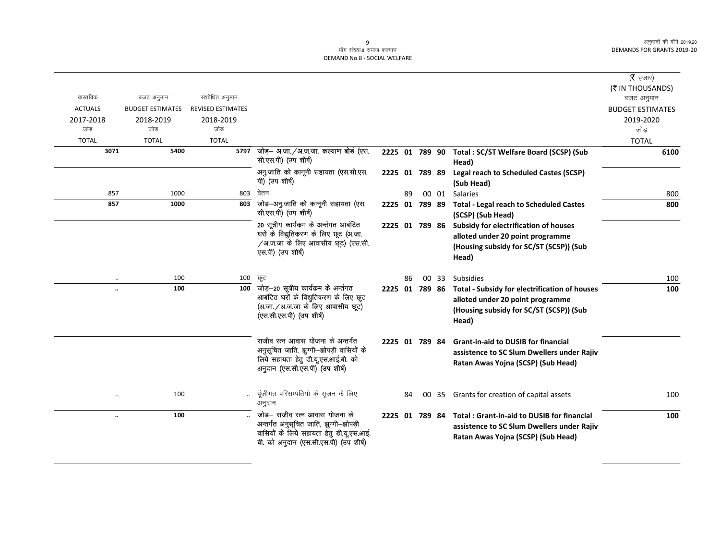### ्<br>माँग संख्या.8 समाज कल्याण DEMAND No.8 - SOCIAL WELFARE

|                      |                         |                          |                                                                                                                                                               |                |    |    |       |                                                                                                                                       | (रै हजार)               |
|----------------------|-------------------------|--------------------------|---------------------------------------------------------------------------------------------------------------------------------------------------------------|----------------|----|----|-------|---------------------------------------------------------------------------------------------------------------------------------------|-------------------------|
|                      |                         |                          |                                                                                                                                                               |                |    |    |       |                                                                                                                                       | (₹ IN THOUSANDS)        |
| वास्तविक             | बजट अनुमान              | संशोधित अनुमान           |                                                                                                                                                               |                |    |    |       |                                                                                                                                       | बजट अनुमान              |
| <b>ACTUALS</b>       | <b>BUDGET ESTIMATES</b> | <b>REVISED ESTIMATES</b> |                                                                                                                                                               |                |    |    |       |                                                                                                                                       | <b>BUDGET ESTIMATES</b> |
| 2017-2018<br>जोड     | 2018-2019<br>जोड        | 2018-2019<br>जोड         |                                                                                                                                                               |                |    |    |       |                                                                                                                                       | 2019-2020<br>जोड        |
| <b>TOTAL</b>         | <b>TOTAL</b>            | <b>TOTAL</b>             |                                                                                                                                                               |                |    |    |       |                                                                                                                                       | <b>TOTAL</b>            |
| 3071                 | 5400                    | 5797                     | जोड़– अ.जा./अ.ज.जा. कल्याण बोर्ड (एस.<br>सी.एस.पी) (उप शीर्ष)                                                                                                 | 2225 01 789 90 |    |    |       | Total: SC/ST Welfare Board (SCSP) (Sub<br>Head)                                                                                       | 6100                    |
|                      |                         |                          | अनु.जाति को कानूनी सहायता (एस.सी.एस.<br>पी) (उप शीर्ष)                                                                                                        | 2225 01 789 89 |    |    |       | Legal reach to Scheduled Castes (SCSP)<br>(Sub Head)                                                                                  |                         |
| 857                  | 1000                    | 803                      | वेतन                                                                                                                                                          |                | 89 |    | 00 01 | <b>Salaries</b>                                                                                                                       | 800                     |
| 857                  | 1000                    | 803                      | जोड़–अनु.जाति को कानूनी सहायता (एस.<br>सी.एस.पी) (उप शीर्ष)                                                                                                   | 2225 01 789 89 |    |    |       | <b>Total - Legal reach to Scheduled Castes</b><br>(SCSP) (Sub Head)                                                                   | 800                     |
|                      |                         |                          | 20 सूत्रीय कार्यकम के अर्न्तगत आबंटित<br>घरों के विद्युतिकरण के लिए छूट (अ.जा.<br>/अ.ज.जा के लिए आवासीय छूट) (एस.सी.<br>एस.पी) (उप शीर्ष)                     | 2225 01 789 86 |    |    |       | Subsidy for electrification of houses<br>alloted under 20 point programme<br>(Housing subsidy for SC/ST (SCSP)) (Sub<br>Head)         |                         |
| $\ddotsc$            | 100                     | 100                      | ਲ੍ਰਟ                                                                                                                                                          |                | 86 | 00 |       | 33 Subsidies                                                                                                                          | 100                     |
|                      | 100                     | 100                      | जोड़–20 सूत्रीय कार्यकम के अर्न्तगत<br>आबंटित घरों के विद्युतिकरण के लिए छूट<br>(अ.जा. / अ.ज.जा के लिए आवासीय छूट)<br>(एस.सी.एस.पी) (उप शीर्ष)                | 2225 01 789 86 |    |    |       | Total - Subsidy for electrification of houses<br>alloted under 20 point programme<br>(Housing subsidy for SC/ST (SCSP)) (Sub<br>Head) | 100                     |
|                      |                         |                          | राजीव रत्न आवास योजना के अन्तर्गत<br>अनुसूचित जाति, झुग्गी—झोपड़ी वासियों के<br>लिये सहायता हेतू डी.यू.एस.आई.बी. को<br>अनुदान (एस.सी.एस.पी) (उप शीर्ष)        | 2225 01 789 84 |    |    |       | <b>Grant-in-aid to DUSIB for financial</b><br>assistence to SC Slum Dwellers under Rajiv<br>Ratan Awas Yojna (SCSP) (Sub Head)        |                         |
|                      | 100                     | $\ddotsc$                | पूंजीगत परिसम्पतियो के सृजन के लिए<br>अनुदान                                                                                                                  |                | 84 |    |       | 00 35 Grants for creation of capital assets                                                                                           | 100                     |
| $\ddot{\phantom{0}}$ | 100                     |                          | जोड़– राजीव रत्न आवास योजना के<br>अन्तर्गत अनुसूचित जाति, झुग्गी-झोपड़ी<br>वासियों के लिये सहायता हेतु डी.यू.एस.आई.<br>बी. को अनुदान (एस.सी.एस.पी) (उप शीर्ष) | 2225 01 789 84 |    |    |       | <b>Total: Grant-in-aid to DUSIB for financial</b><br>assistence to SC Slum Dwellers under Rajiv<br>Ratan Awas Yojna (SCSP) (Sub Head) | 100                     |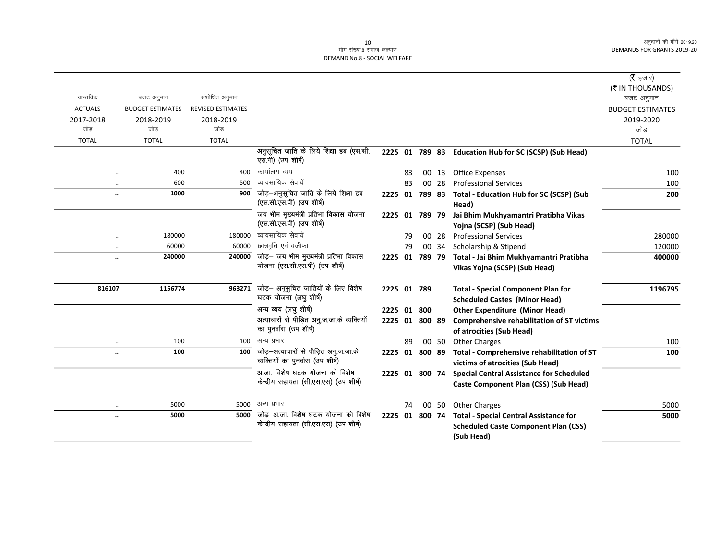## DEMAND No.8 - SOCIAL WELFARE

|                |                         |                          |                                                                               |                |    |       |                                                                                                            | ( $\bar{\tau}$ हजार)    |
|----------------|-------------------------|--------------------------|-------------------------------------------------------------------------------|----------------|----|-------|------------------------------------------------------------------------------------------------------------|-------------------------|
|                |                         |                          |                                                                               |                |    |       |                                                                                                            | (₹ IN THOUSANDS)        |
| वास्तविक       | बजट अनुमान              | संशोधित अनुमान           |                                                                               |                |    |       |                                                                                                            | बजट अनुमान              |
| <b>ACTUALS</b> | <b>BUDGET ESTIMATES</b> | <b>REVISED ESTIMATES</b> |                                                                               |                |    |       |                                                                                                            | <b>BUDGET ESTIMATES</b> |
| 2017-2018      | 2018-2019               | 2018-2019                |                                                                               |                |    |       |                                                                                                            | 2019-2020               |
| जोड            | जोड                     | जोड                      |                                                                               |                |    |       |                                                                                                            | जोड                     |
| <b>TOTAL</b>   | <b>TOTAL</b>            | <b>TOTAL</b>             |                                                                               |                |    |       |                                                                                                            | <b>TOTAL</b>            |
|                |                         |                          | अनुसूचित जाति के लिये शिक्षा हब (एस.सी.<br>एस.पी) (उप शीर्ष)                  |                |    |       | 2225 01 789 83 Education Hub for SC (SCSP) (Sub Head)                                                      |                         |
| $\ddotsc$      | 400                     | 400                      | कार्यालय व्यय                                                                 |                | 83 | 00 13 | Office Expenses                                                                                            | 100                     |
| $\ddotsc$      | 600                     | 500                      | व्यावसायिक सेवायें                                                            |                | 83 | 00 28 | <b>Professional Services</b>                                                                               | 100                     |
|                | 1000                    | 900                      | जोड़-अनुसूचित जाति के लिये शिक्षा हब<br>(एस.सी.एस.पी) (उप शीर्ष)              | 2225 01        |    |       | 789 83 Total - Education Hub for SC (SCSP) (Sub<br>Head)                                                   | 200                     |
|                |                         |                          | जय भीम मुख्यमंत्री प्रतिभा विकास योजना<br>(एस.सी.एस.पी) (उप शीर्ष)            | 2225 01 789 79 |    |       | Jai Bhim Mukhyamantri Pratibha Vikas<br>Yojna (SCSP) (Sub Head)                                            |                         |
| $\ddotsc$      | 180000                  | 180000                   | व्यावसायिक सेवायें                                                            |                | 79 | 00 28 | <b>Professional Services</b>                                                                               | 280000                  |
| $\ddotsc$      | 60000                   | 60000                    | छात्रवृति एवं वजीफा                                                           |                | 79 | 00 34 | Scholarship & Stipend                                                                                      | 120000                  |
|                | 240000                  | 240000                   | जोड़- जय भीम मुख्यमंत्री प्रतिभा विकास<br>योजना (एस.सी.एस.पी) (उप शीर्ष)      | 2225 01 789 79 |    |       | Total - Jai Bhim Mukhyamantri Pratibha<br>Vikas Yojna (SCSP) (Sub Head)                                    | 400000                  |
| 816107         | 1156774                 | 963271                   | जोड़— अनूसुचित जातियों के लिए विशेष<br>घटक योजना (लघु शीर्ष)                  | 2225 01 789    |    |       | <b>Total - Special Component Plan for</b><br><b>Scheduled Castes (Minor Head)</b>                          | 1196795                 |
|                |                         |                          | अन्य व्यय (लघु शीर्ष)                                                         | 2225 01 800    |    |       | <b>Other Expenditure (Minor Head)</b>                                                                      |                         |
|                |                         |                          | अत्याचारों से पीड़ित अनु.ज.जा.के व्यक्तियों<br>का पुनर्वास (उप शीर्ष)         | 2225 01 800 89 |    |       | <b>Comprehensive rehabilitation of ST victims</b><br>of atrocities (Sub Head)                              |                         |
| $\ddotsc$      | 100                     | 100                      | अन्य प्रभार                                                                   |                | 89 | 00 50 | <b>Other Charges</b>                                                                                       | 100                     |
|                | 100                     | 100                      | जोड़-अत्याचारों से पीड़ित अनु.ज.जा.के<br>व्यक्तियों का पुनर्वास (उप शीर्ष)    | 2225 01 800 89 |    |       | Total - Comprehensive rehabilitation of ST<br>victims of atrocities (Sub Head)                             | 100                     |
|                |                         |                          | अ.जा. विशेष घटक योजना को विशेष<br>केन्द्रीय सहायता (सी.एस.एस) (उप शीर्ष)      | 2225 01 800 74 |    |       | <b>Special Central Assistance for Scheduled</b><br>Caste Component Plan (CSS) (Sub Head)                   |                         |
| $\ddotsc$      | 5000                    | 5000                     | अन्य प्रभार                                                                   |                | 74 | 00 50 | <b>Other Charges</b>                                                                                       | 5000                    |
| $\ddotsc$      | 5000                    | 5000                     | जोड़—अ.जा. विशेष घटक योजना को विशेष<br>केन्द्रीय सहायता (सी.एस.एस) (उप शीर्ष) | 2225 01 800 74 |    |       | <b>Total - Special Central Assistance for</b><br><b>Scheduled Caste Component Plan (CSS)</b><br>(Sub Head) | 5000                    |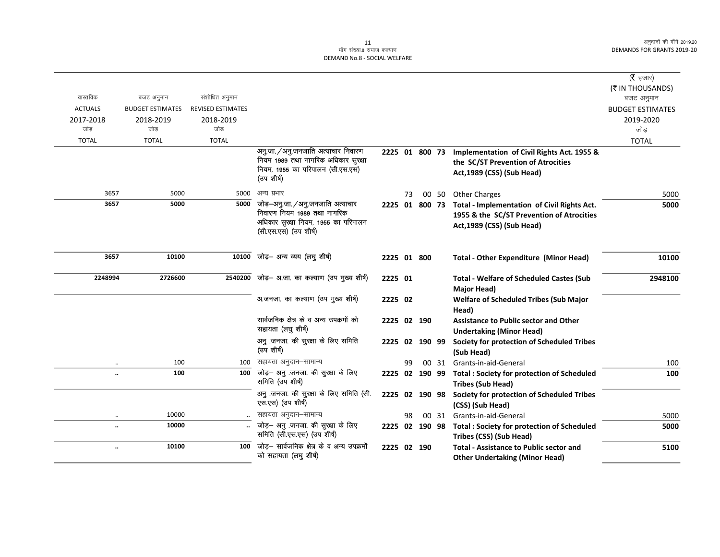# ر 11<br>माँग संख्या.8 समाज कल्याण DEMAND No.8 - SOCIAL WELFARE

|                |                         |                          |                                                                         |                |    |  |                                                                                        | (रै हजार)                             |
|----------------|-------------------------|--------------------------|-------------------------------------------------------------------------|----------------|----|--|----------------------------------------------------------------------------------------|---------------------------------------|
| वास्तविक       | बजट अनुमान              | संशोधित अनुमान           |                                                                         |                |    |  |                                                                                        | (₹ IN THOUSANDS)                      |
| <b>ACTUALS</b> | <b>BUDGET ESTIMATES</b> | <b>REVISED ESTIMATES</b> |                                                                         |                |    |  |                                                                                        | बजट अनुमान<br><b>BUDGET ESTIMATES</b> |
| 2017-2018      | 2018-2019               | 2018-2019                |                                                                         |                |    |  |                                                                                        | 2019-2020                             |
| जोड            | जोड                     | जोड                      |                                                                         |                |    |  |                                                                                        | जोड़                                  |
| <b>TOTAL</b>   | <b>TOTAL</b>            | <b>TOTAL</b>             |                                                                         |                |    |  |                                                                                        | <b>TOTAL</b>                          |
|                |                         |                          | अनु.जा./अनु.जनजाति अत्याचार निवारण                                      | 2225 01 800 73 |    |  | Implementation of Civil Rights Act. 1955 &                                             |                                       |
|                |                         |                          | नियम 1989 तथा नागरिक अधिकार सुरक्षा<br>नियम, 1955 का परिपालन (सी.एस.एस) |                |    |  | the SC/ST Prevention of Atrocities                                                     |                                       |
|                |                         |                          | (उप शीर्ष)                                                              |                |    |  | Act, 1989 (CSS) (Sub Head)                                                             |                                       |
| 3657           | 5000                    | 5000                     | अन्य प्रभार                                                             |                | 73 |  | 00 50 Other Charges                                                                    | 5000                                  |
| 3657           | 5000                    | 5000                     | जोड़–अनु.जा./अनु.जनजाति अत्याचार                                        | 2225 01 800 73 |    |  | Total - Implementation of Civil Rights Act.                                            | 5000                                  |
|                |                         |                          | निवारण नियम 1989 तथा नागरिक<br>अधिकार सुरक्षा नियम, 1955 का परिपालन     |                |    |  | 1955 & the SC/ST Prevention of Atrocities                                              |                                       |
|                |                         |                          | (सी.एस.एस) (उप शीर्ष)                                                   |                |    |  | Act, 1989 (CSS) (Sub Head)                                                             |                                       |
|                |                         |                          |                                                                         |                |    |  |                                                                                        |                                       |
| 3657           | 10100                   | 10100                    | जोड़– अन्य व्यय (लघु शीर्ष)                                             | 2225 01 800    |    |  | <b>Total - Other Expenditure (Minor Head)</b>                                          | 10100                                 |
| 2248994        | 2726600                 |                          | 2540200 जोड़— अ.जा. का कल्याण (उप मुख्य शीर्ष)                          | 2225 01        |    |  | <b>Total - Welfare of Scheduled Castes (Sub</b>                                        | 2948100                               |
|                |                         |                          |                                                                         |                |    |  | Major Head)                                                                            |                                       |
|                |                         |                          | अ.जनजा. का कल्याण (उप मुख्य शीर्ष)                                      | 2225 02        |    |  | <b>Welfare of Scheduled Tribes (Sub Major</b><br>Head)                                 |                                       |
|                |                         |                          | सार्वजनिक क्षेत्र के व अन्य उपक्रमों को<br>सहायता (लघु शीर्ष)           | 2225 02 190    |    |  | <b>Assistance to Public sector and Other</b><br><b>Undertaking (Minor Head)</b>        |                                       |
|                |                         |                          | अनु .जनजा. की सुरक्षा के लिए समिति                                      | 2225 02 190 99 |    |  | Society for protection of Scheduled Tribes                                             |                                       |
|                |                         |                          | (उप शीर्ष)                                                              |                |    |  | (Sub Head)                                                                             |                                       |
|                | 100                     | 100                      | सहायता अनुदान–सामान्य                                                   |                | 99 |  | 00 31 Grants-in-aid-General                                                            | 100                                   |
|                | 100                     | 100                      | जोड़- अनु जनजा की सुरक्षा के लिए<br>समिति (उप शीर्ष)                    |                |    |  | 2225 02 190 99 Total : Society for protection of Scheduled<br><b>Tribes (Sub Head)</b> | 100                                   |
|                |                         |                          | अनु .जनजा. की सुरक्षा के लिए समिति (सी.                                 |                |    |  | 2225 02 190 98 Society for protection of Scheduled Tribes                              |                                       |
|                |                         |                          | एस.एस) (उप शीर्ष)                                                       |                |    |  | (CSS) (Sub Head)                                                                       |                                       |
| $\cdot$ .      | 10000                   |                          | सहायता अनुदान-सामान्य                                                   |                | 98 |  | 00 31 Grants-in-aid-General                                                            | 5000                                  |
|                | 10000                   |                          | जोड़- अनु जनजा की सुरक्षा के लिए<br>समिति (सी.एस.एस) (उप शीर्ष)         |                |    |  | 2225 02 190 98 Total : Society for protection of Scheduled<br>Tribes (CSS) (Sub Head)  | 5000                                  |
|                | 10100                   | 100                      | जोड़– सार्वजनिक क्षेत्र के व अन्य उपक्रमों                              | 2225 02 190    |    |  | <b>Total - Assistance to Public sector and</b>                                         | 5100                                  |
|                |                         |                          | को सहायता (लघु शीर्ष)                                                   |                |    |  | <b>Other Undertaking (Minor Head)</b>                                                  |                                       |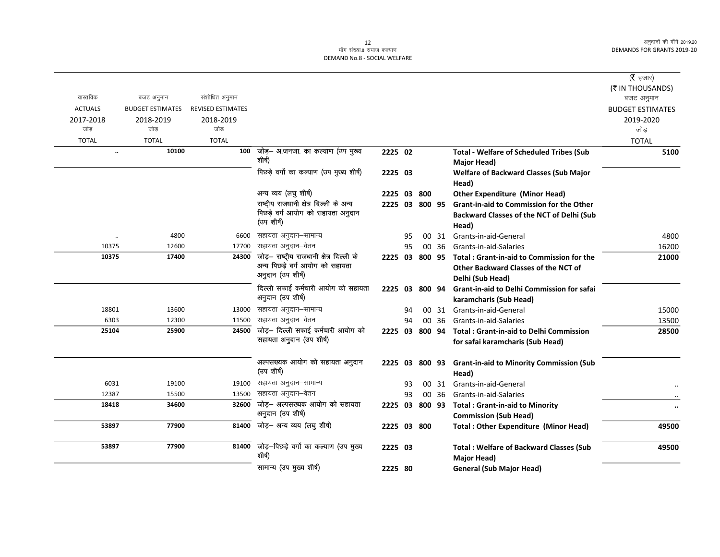## माँग संख्या.8 समाज कल्याण DEMAND No.8 - SOCIAL WELFARE

|                |                         |                          |                                                                |                |    |    |       |                                                          | ( $\bar{\tau}$ हजार)           |
|----------------|-------------------------|--------------------------|----------------------------------------------------------------|----------------|----|----|-------|----------------------------------------------------------|--------------------------------|
| वास्तविक       | बजट अनुमान              | संशोधित अनुमान           |                                                                |                |    |    |       |                                                          | (₹ IN THOUSANDS)<br>बजट अनुमान |
| <b>ACTUALS</b> | <b>BUDGET ESTIMATES</b> | <b>REVISED ESTIMATES</b> |                                                                |                |    |    |       |                                                          | <b>BUDGET ESTIMATES</b>        |
| 2017-2018      | 2018-2019               | 2018-2019                |                                                                |                |    |    |       |                                                          | 2019-2020                      |
| जोड            | जोड                     | जोड                      |                                                                |                |    |    |       |                                                          | जोड़                           |
| <b>TOTAL</b>   | <b>TOTAL</b>            | <b>TOTAL</b>             |                                                                |                |    |    |       |                                                          | <b>TOTAL</b>                   |
| $\ddotsc$      | 10100                   |                          | 100 जोड़– अ.जनजा. का कल्याण (उप मुख्य                          | 2225 02        |    |    |       | <b>Total - Welfare of Scheduled Tribes (Sub</b>          | 5100                           |
|                |                         |                          | शीर्ष)                                                         |                |    |    |       | <b>Major Head)</b>                                       |                                |
|                |                         |                          | पिछड़े वर्गो का कल्याण (उप मुख्य शीर्ष)                        | 2225 03        |    |    |       | Welfare of Backward Classes (Sub Major                   |                                |
|                |                         |                          |                                                                |                |    |    |       | Head)                                                    |                                |
|                |                         |                          | अन्य व्यय (लघु शीर्ष)                                          | 2225 03 800    |    |    |       | <b>Other Expenditure (Minor Head)</b>                    |                                |
|                |                         |                          | राष्ट्रीय राजधानी क्षेत्र दिल्ली के अन्य                       | 2225 03 800 95 |    |    |       | <b>Grant-in-aid to Commission for the Other</b>          |                                |
|                |                         |                          | पिछड़े वर्ग आयोग को सहायता अनुदान                              |                |    |    |       | <b>Backward Classes of the NCT of Delhi (Sub</b>         |                                |
|                |                         |                          | (उप शीर्ष)                                                     |                |    |    |       | Head)                                                    |                                |
| $\ddotsc$      | 4800                    | 6600                     | सहायता अनुदान-सामान्य                                          |                | 95 | 00 | 31    | Grants-in-aid-General                                    | 4800                           |
| 10375          | 12600                   | 17700                    | सहायता अनुदान–वेतन                                             |                | 95 |    | 00 36 | Grants-in-aid-Salaries                                   | 16200                          |
| 10375          | 17400                   | 24300                    | जोड़- राष्ट्रीय राजधानी क्षेत्र दिल्ली के                      |                |    |    |       | 2225 03 800 95 Total: Grant-in-aid to Commission for the | 21000                          |
|                |                         |                          | अन्य पिछड़े वर्ग आयोग को सहायता<br>अनुदान (उप शीर्ष)           |                |    |    |       | Other Backward Classes of the NCT of                     |                                |
|                |                         |                          |                                                                |                |    |    |       | Delhi (Sub Head)                                         |                                |
|                |                         |                          | दिल्ली सफाई कर्मचारी आयोग को सहायता                            | 2225 03 800 94 |    |    |       | Grant-in-aid to Delhi Commission for safai               |                                |
|                |                         |                          | अनुदान (उप शीर्ष)                                              |                |    |    |       | karamcharis (Sub Head)                                   |                                |
| 18801          | 13600                   | 13000                    | सहायता अनुदान-सामान्य                                          |                | 94 |    |       | 00 31 Grants-in-aid-General                              | 15000                          |
| 6303           | 12300                   | 11500                    | सहायता अनुदान–वेतन                                             |                | 94 |    | 00 36 | Grants-in-aid-Salaries                                   | 13500                          |
| 25104          | 25900                   | 24500                    | जोड़- दिल्ली सफाई कर्मचारी आयोग को<br>सहायता अनुदान (उप शीर्ष) | 2225 03 800 94 |    |    |       | <b>Total: Grant-in-aid to Delhi Commission</b>           | 28500                          |
|                |                         |                          |                                                                |                |    |    |       | for safai karamcharis (Sub Head)                         |                                |
|                |                         |                          | अल्पसख्यक आयोग को सहायता अनुदान                                |                |    |    |       | 2225 03 800 93 Grant-in-aid to Minority Commission (Sub  |                                |
|                |                         |                          | (उप शीर्ष)                                                     |                |    |    |       | Head)                                                    |                                |
| 6031           | 19100                   | 19100                    | सहायता अनुदान–सामान्य                                          |                | 93 |    | 00 31 | Grants-in-aid-General                                    |                                |
| 12387          | 15500                   | 13500                    | सहायता अनुदान–वेतन                                             |                | 93 |    | 00 36 | Grants-in-aid-Salaries                                   |                                |
| 18418          | 34600                   | 32600                    | जोड़— अल्पसख्यक आयोग को सहायता                                 | 2225 03 800 93 |    |    |       | <b>Total: Grant-in-aid to Minority</b>                   | $\bullet\bullet$               |
|                |                         |                          | अनुदान (उप शीर्ष)                                              |                |    |    |       | <b>Commission (Sub Head)</b>                             |                                |
| 53897          | 77900                   | 81400                    | जोड़– अन्य व्यय (लघु शीर्ष)                                    | 2225 03 800    |    |    |       | <b>Total: Other Expenditure (Minor Head)</b>             | 49500                          |
| 53897          | 77900                   |                          | 81400 जोड़-पिछड़े वर्गो का कल्याण (उप मुख्य                    | 2225 03        |    |    |       | <b>Total: Welfare of Backward Classes (Sub</b>           | 49500                          |
|                |                         |                          | शीर्ष)                                                         |                |    |    |       | <b>Major Head)</b>                                       |                                |
|                |                         |                          | सामान्य (उप मुख्य शीर्ष)                                       | 2225 80        |    |    |       | <b>General (Sub Major Head)</b>                          |                                |
|                |                         |                          |                                                                |                |    |    |       |                                                          |                                |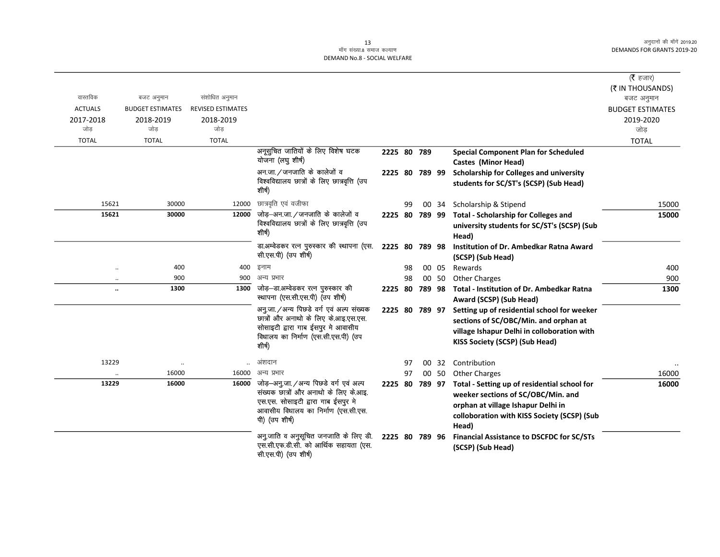#### 13 ek¡x l a[;k-8 lekt dY;k.k DEMAND No.8 - SOCIAL WELFARE

|                      |                         |                                                                                                                                               |                                                                        |                |    |                |       |                                                                                    | ( $\bar{\tau}$ हजार)    |
|----------------------|-------------------------|-----------------------------------------------------------------------------------------------------------------------------------------------|------------------------------------------------------------------------|----------------|----|----------------|-------|------------------------------------------------------------------------------------|-------------------------|
|                      |                         |                                                                                                                                               |                                                                        |                |    |                |       |                                                                                    | (₹ IN THOUSANDS)        |
| वास्तविक             | बजट अनुमान              | संशोधित अनुमान                                                                                                                                |                                                                        |                |    |                |       |                                                                                    | बजट अनुमान              |
| <b>ACTUALS</b>       | <b>BUDGET ESTIMATES</b> | <b>REVISED ESTIMATES</b>                                                                                                                      |                                                                        |                |    |                |       |                                                                                    | <b>BUDGET ESTIMATES</b> |
| 2017-2018            | 2018-2019               | 2018-2019                                                                                                                                     |                                                                        |                |    |                |       |                                                                                    | 2019-2020               |
| जोड                  | जोड                     | जोड                                                                                                                                           |                                                                        |                |    |                |       |                                                                                    | जोड                     |
| <b>TOTAL</b>         | <b>TOTAL</b>            | <b>TOTAL</b>                                                                                                                                  |                                                                        |                |    |                |       |                                                                                    | <b>TOTAL</b>            |
|                      |                         |                                                                                                                                               | अनूसुचित जातियों के लिए विशेष घटक                                      | 2225 80 789    |    |                |       | <b>Special Component Plan for Scheduled</b>                                        |                         |
|                      |                         |                                                                                                                                               | योजना (लघु शीर्ष)                                                      |                |    |                |       | <b>Castes (Minor Head)</b>                                                         |                         |
|                      |                         |                                                                                                                                               | अन.जा./जनजाति के कालेजों व                                             | 2225 80 789 99 |    |                |       | Scholarship for Colleges and university                                            |                         |
|                      |                         |                                                                                                                                               | विश्वविद्यालय छात्रों के लिए छात्रवृत्ति (उप<br>शीर्ष)                 |                |    |                |       | students for SC/ST's (SCSP) (Sub Head)                                             |                         |
| 15621                | 30000                   | 12000                                                                                                                                         | छात्रवृति एवं वजीफा                                                    |                | 99 |                | 00 34 | Scholarship & Stipend                                                              | 15000                   |
| 15621                | 30000                   | 12000                                                                                                                                         | जोड़-अन.जा./जनजाति के कालेजों व                                        |                |    |                |       | 2225 80 789 99 Total - Scholarship for Colleges and                                | 15000                   |
|                      |                         |                                                                                                                                               | विश्वविद्यालय छात्रों के लिए छात्रवृत्ति (उप<br>शीर्ष)                 |                |    |                |       | university students for SC/ST's (SCSP) (Sub                                        |                         |
|                      |                         |                                                                                                                                               |                                                                        |                |    |                |       | Head)                                                                              |                         |
|                      |                         |                                                                                                                                               | डा.अम्वेडकर रत्न पुरुस्कार की स्थापना (एस.                             | 2225 80        |    | 789 98         |       | Institution of Dr. Ambedkar Ratna Award                                            |                         |
|                      |                         |                                                                                                                                               | सी.एस.पी) (उप शीर्ष)                                                   |                |    |                |       | (SCSP) (Sub Head)                                                                  |                         |
|                      | 400                     | 400                                                                                                                                           | इनाम                                                                   |                | 98 |                | 00 05 | Rewards                                                                            | 400                     |
|                      | 900                     | 900                                                                                                                                           | अन्य प्रभार                                                            |                | 98 |                | 00 50 | <b>Other Charges</b>                                                               | 900                     |
| $\ddot{\phantom{a}}$ | 1300                    | 1300                                                                                                                                          | जोड़—डा.अम्वेडकर रत्न पुरुस्कार की<br>स्थापना (एस.सी.एस.पी) (उप शीर्ष) | 2225 80        |    | 789 98         |       | <b>Total - Institution of Dr. Ambedkar Ratna</b><br>Award (SCSP) (Sub Head)        | 1300                    |
|                      |                         |                                                                                                                                               | अनु.जा./अन्य पिछडे वर्ग एवं अल्प संख्यक                                | 2225 80 789 97 |    |                |       | Setting up of residential school for weeker                                        |                         |
|                      |                         |                                                                                                                                               | छात्रों और अनाथो के लिए के.आइ.एस.एस.                                   |                |    |                |       | sections of SC/OBC/Min. and orphan at                                              |                         |
|                      |                         |                                                                                                                                               | सोसाइटी द्वारा गाब ईसपुर मे आवासीय                                     |                |    |                |       | village Ishapur Delhi in colloboration with                                        |                         |
|                      |                         |                                                                                                                                               | विधालय का निर्माण (एस.सी.एस.पी) (उप<br>शीर्ष)                          |                |    |                |       | KISS Society (SCSP) (Sub Head)                                                     |                         |
| 13229                | $\ddotsc$               |                                                                                                                                               | अंशदान                                                                 |                | 97 |                | 00 32 | Contribution                                                                       |                         |
|                      | 16000                   | 16000                                                                                                                                         | अन्य प्रभार                                                            |                | 97 |                | 00 50 | <b>Other Charges</b>                                                               | 16000                   |
| 13229                | 16000                   | जोड़-अनु.जा./अन्य पिछडे वर्ग एवं अल्प<br>16000<br>एस.एस. सोसाइटी द्वारा गाब ईसपुर मे<br>आवासीय विधालय का निर्माण (एस.सी.एस.<br>पी) (उप शीर्ष) | संख्यक छात्रों और अनाथो के लिए के.आइ.                                  |                |    | 2225 80 789 97 |       | Total - Setting up of residential school for<br>weeker sections of SC/OBC/Min. and | 16000                   |
|                      |                         |                                                                                                                                               |                                                                        |                |    |                |       | orphan at village Ishapur Delhi in                                                 |                         |
|                      |                         |                                                                                                                                               |                                                                        |                |    |                |       | colloboration with KISS Society (SCSP) (Sub<br>Head)                               |                         |
|                      |                         |                                                                                                                                               | अनु.जाति व अनुसूचित जनजाति के लिए डी.                                  | 2225 80 789 96 |    |                |       | <b>Financial Assistance to DSCFDC for SC/STs</b>                                   |                         |
|                      |                         |                                                                                                                                               | एस.सी.एफ.डी.सी. को आर्थिक सहायता (एस.<br>सी.एस.पी) (उप शीर्ष)          |                |    |                |       | (SCSP) (Sub Head)                                                                  |                         |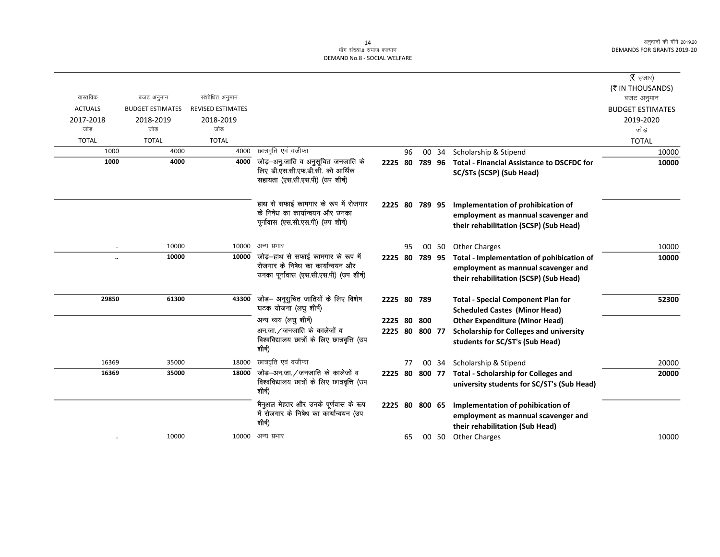#### 14 ्तः<br>माँग संख्या.8 समाज कल्याण DEMAND No.8 - SOCIAL WELFARE

|                |                         |                          |                                                                                                                    |                |    |        |        |                                                                                                                            | ( <b>रै</b> हजार)       |
|----------------|-------------------------|--------------------------|--------------------------------------------------------------------------------------------------------------------|----------------|----|--------|--------|----------------------------------------------------------------------------------------------------------------------------|-------------------------|
|                |                         |                          |                                                                                                                    |                |    |        |        |                                                                                                                            | (₹ IN THOUSANDS)        |
| वास्तविक       | बजट अनुमान              | संशोधित अनुमान           |                                                                                                                    |                |    |        |        |                                                                                                                            | बजट अनुमान              |
| <b>ACTUALS</b> | <b>BUDGET ESTIMATES</b> | <b>REVISED ESTIMATES</b> |                                                                                                                    |                |    |        |        |                                                                                                                            | <b>BUDGET ESTIMATES</b> |
| 2017-2018      | 2018-2019               | 2018-2019                |                                                                                                                    |                |    |        |        |                                                                                                                            | 2019-2020               |
| जोड            | जोड                     | जोड                      |                                                                                                                    |                |    |        |        |                                                                                                                            | जोड                     |
| <b>TOTAL</b>   | <b>TOTAL</b>            | <b>TOTAL</b>             |                                                                                                                    |                |    |        |        |                                                                                                                            | <b>TOTAL</b>            |
| 1000           | 4000                    | 4000                     | छात्रवृति एवं वजीफा                                                                                                |                | 96 | $00\,$ | 34     | Scholarship & Stipend                                                                                                      | 10000                   |
| 1000           | 4000                    | 4000                     | जोड़-अनु.जाति व अनुसूचित जनजाति के<br>लिए डी.एस.सी.एफ.डी.सी. को आर्थिक<br>सहायता (एस.सी.एस.पी) (उप शीर्ष)          | 2225 80        |    |        | 789 96 | <b>Total - Financial Assistance to DSCFDC for</b><br>SC/STs (SCSP) (Sub Head)                                              | 10000                   |
|                |                         |                          | हाथ से सफाई कामगार के रूप में रोजगार<br>के निषेध का कार्यान्वयन और उनका<br>पूर्नावास (एस.सी.एस.पी) (उप शीर्ष)      | 2225 80 789 95 |    |        |        | Implementation of prohibication of<br>employment as mannual scavenger and<br>their rehabilitation (SCSP) (Sub Head)        |                         |
| $\ddotsc$      | 10000                   | 10000                    | अन्य प्रभार                                                                                                        |                | 95 |        | 00 50  | <b>Other Charges</b>                                                                                                       | 10000                   |
|                | 10000                   | 10000                    | जोड़–हाथ से सफाई कामगार के रूप में<br>रोजगार के निषेध का कार्यान्वयन और<br>उनका पूर्नावास (एस.सी.एस.पी) (उप शीर्ष) | 2225 80 789 95 |    |        |        | Total - Implementation of pohibication of<br>employment as mannual scavenger and<br>their rehabilitation (SCSP) (Sub Head) | 10000                   |
| 29850          | 61300                   | 43300                    | जोड़— अनूसुचित जातियों के लिए विशेष<br>घटक योजना (लघु शीर्ष)                                                       | 2225 80 789    |    |        |        | <b>Total - Special Component Plan for</b><br><b>Scheduled Castes (Minor Head)</b>                                          | 52300                   |
|                |                         |                          | अन्य व्यय (लघु शीर्ष)                                                                                              | 2225 80        |    | 800    |        | <b>Other Expenditure (Minor Head)</b>                                                                                      |                         |
|                |                         |                          | अन.जा. / जनजाति के कालेजों व<br>विश्वविद्यालय छात्रों के लिए छात्रवृत्ति (उप<br>शीर्ष)                             | 2225 80 800 77 |    |        |        | <b>Scholarship for Colleges and university</b><br>students for SC/ST's (Sub Head)                                          |                         |
| 16369          | 35000                   | 18000                    | छात्रवृति एवं वजीफा                                                                                                |                | 77 |        | 00 34  | Scholarship & Stipend                                                                                                      | 20000                   |
| 16369          | 35000                   | 18000                    | जोड—अन.जा. ⁄ जनजाति के कालेजों व<br>विश्वविद्यालय छात्रों के लिए छात्रवृत्ति (उप<br>शीर्ष)                         | 2225 80        |    | 800 77 |        | <b>Total - Scholarship for Colleges and</b><br>university students for SC/ST's (Sub Head)                                  | 20000                   |
|                |                         |                          | मैनुअल मेहतर और उनके पूर्णवास के रूप<br>में रोजगार के निषेध का कार्यान्वयन (उप<br>शीर्ष)                           |                |    |        |        | 2225 80 800 65 Implementation of pohibication of<br>employment as mannual scavenger and<br>their rehabilitation (Sub Head) |                         |
|                | 10000                   |                          | 10000 अन्य प्रभार                                                                                                  |                | 65 |        |        | 00 50 Other Charges                                                                                                        | 10000                   |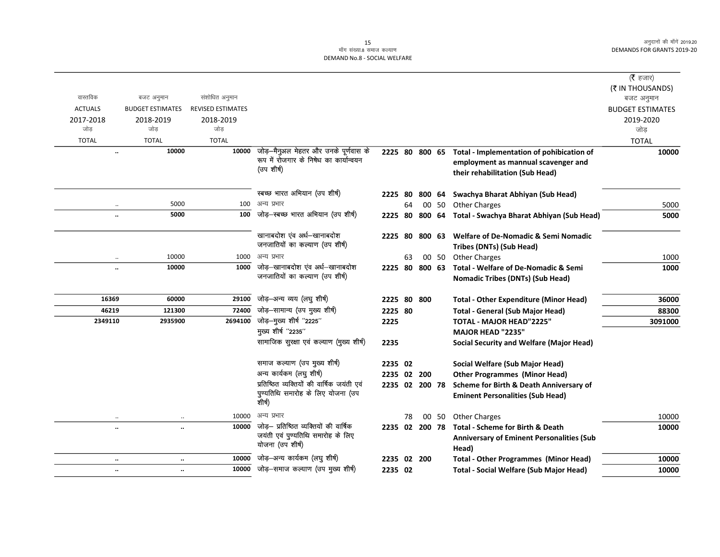|                      |                         |                          |                                            |                |    |        |        |                                                          | (रै हजार)               |
|----------------------|-------------------------|--------------------------|--------------------------------------------|----------------|----|--------|--------|----------------------------------------------------------|-------------------------|
|                      |                         |                          |                                            |                |    |        |        |                                                          | (₹ IN THOUSANDS)        |
| वास्तविक             | बजट अनुमान              | संशोधित अनुमान           |                                            |                |    |        |        |                                                          | बजट अनुमान              |
| <b>ACTUALS</b>       | <b>BUDGET ESTIMATES</b> | <b>REVISED ESTIMATES</b> |                                            |                |    |        |        |                                                          | <b>BUDGET ESTIMATES</b> |
| 2017-2018            | 2018-2019               | 2018-2019                |                                            |                |    |        |        |                                                          | 2019-2020               |
| जोड़                 | जोड                     | जोड                      |                                            |                |    |        |        |                                                          | जोड                     |
| <b>TOTAL</b>         | <b>TOTAL</b>            | <b>TOTAL</b>             |                                            |                |    |        |        |                                                          | <b>TOTAL</b>            |
| $\ddot{\phantom{a}}$ | 10000                   | 10000                    | जोड़–मैनुअल मेहतर और उनके पूर्णवास के      | 2225 80 800 65 |    |        |        | Total - Implementation of pohibication of                | 10000                   |
|                      |                         |                          | रूप में रोजगार के निषेध का कार्यान्वयन     |                |    |        |        | employment as mannual scavenger and                      |                         |
|                      |                         |                          | (उप शीर्ष)                                 |                |    |        |        | their rehabilitation (Sub Head)                          |                         |
|                      |                         |                          | स्बच्छ भारत अभियान (उप शीर्ष)              | 2225 80        |    |        | 800 64 | Swachya Bharat Abhiyan (Sub Head)                        |                         |
| $\ddot{\phantom{a}}$ | 5000                    | 100                      | अन्य प्रभार                                |                | 64 |        |        | 00 50 Other Charges                                      | 5000                    |
| $\ddot{\phantom{a}}$ | 5000                    | 100                      | जोड़-स्बच्छ भारत अभियान (उप शीर्ष)         |                |    |        |        | 2225 80 800 64 Total - Swachya Bharat Abhiyan (Sub Head) | 5000                    |
|                      |                         |                          |                                            |                |    |        |        |                                                          |                         |
|                      |                         |                          | खानाबदोश एव अर्ध-खानाबदोश                  | 2225 80        |    | 800 63 |        | <b>Welfare of De-Nomadic &amp; Semi Nomadic</b>          |                         |
|                      |                         |                          | जनजातियों का कल्याण (उप शीर्ष)             |                |    |        |        | <b>Tribes (DNTs) (Sub Head)</b>                          |                         |
| $\ldots$             | 10000                   | 1000                     | अन्य प्रभार                                |                | 63 |        | 00 50  | <b>Other Charges</b>                                     | 1000                    |
| $\ddot{\phantom{0}}$ | 10000                   | 1000                     | जोड़-खानाबदोश एंव अर्ध-खानाबदोश            | 2225 80 800 63 |    |        |        | <b>Total - Welfare of De-Nomadic &amp; Semi</b>          | 1000                    |
|                      |                         |                          | जनजातियों का कल्याण (उप शीर्ष)             |                |    |        |        | <b>Nomadic Tribes (DNTs) (Sub Head)</b>                  |                         |
| 16369                | 60000                   | 29100                    | जोड़-अन्य व्यय (लघु शीर्ष)                 | 2225 80 800    |    |        |        | <b>Total - Other Expenditure (Minor Head)</b>            | 36000                   |
| 46219                | 121300                  | 72400                    | जोड़–सामान्य (उप मुख्य शीर्ष)              | 2225 80        |    |        |        | <b>Total - General (Sub Major Head)</b>                  | 88300                   |
| 2349110              | 2935900                 | 2694100                  | जोड़—मुख्य शीर्ष "2225"                    | 2225           |    |        |        | TOTAL - MAJOR HEAD"2225"                                 | 3091000                 |
|                      |                         |                          | मुख्य शीर्ष "2235"                         |                |    |        |        | <b>MAJOR HEAD "2235"</b>                                 |                         |
|                      |                         |                          | सामाजिक सुरक्षा एवं कल्याण (मुख्य शीर्ष)   | 2235           |    |        |        | <b>Social Security and Welfare (Major Head)</b>          |                         |
|                      |                         |                          | समाज कल्याण (उप मुख्य शीर्ष)               | 2235 02        |    |        |        | Social Welfare (Sub Major Head)                          |                         |
|                      |                         |                          | अन्य कार्यकम (लघु शीर्ष)                   | 2235 02 200    |    |        |        | <b>Other Programmes (Minor Head)</b>                     |                         |
|                      |                         |                          | प्रतिष्ठित व्यक्तियों की वार्षिक जयंती एवं | 2235 02 200 78 |    |        |        | Scheme for Birth & Death Anniversary of                  |                         |
|                      |                         |                          | पुण्यतिथि समारोह के लिए योजना (उप          |                |    |        |        | <b>Eminent Personalities (Sub Head)</b>                  |                         |
|                      |                         |                          | शीर्ष)                                     |                |    |        |        |                                                          |                         |
|                      |                         | 10000                    | अन्य प्रभार                                |                | 78 |        | 00 50  | <b>Other Charges</b>                                     | 10000                   |
| $\ddot{\phantom{a}}$ | $\ddot{\phantom{a}}$    | 10000                    | जोड़— प्रतिष्ठित व्यक्तियों की वार्षिक     | 2235 02 200 78 |    |        |        | <b>Total - Scheme for Birth &amp; Death</b>              | 10000                   |
|                      |                         |                          | जयंती एवं पुण्यतिथि समारोह के लिए          |                |    |        |        | <b>Anniversary of Eminent Personalities (Sub</b>         |                         |
|                      |                         |                          | योजना (उप शीर्ष)                           |                |    |        |        | Head)                                                    |                         |
| $\ldots$             | $\ddotsc$               | 10000                    | जोड़-अन्य कार्यकम (लघु शीर्ष)              | 2235 02 200    |    |        |        | <b>Total - Other Programmes (Minor Head)</b>             | 10000                   |
| $\ldots$             | $\ddotsc$               | 10000                    | जोड़-समाज कल्याण (उप मुख्य शीर्ष)          | 2235 02        |    |        |        | <b>Total - Social Welfare (Sub Major Head)</b>           | 10000                   |
|                      |                         |                          |                                            |                |    |        |        |                                                          |                         |